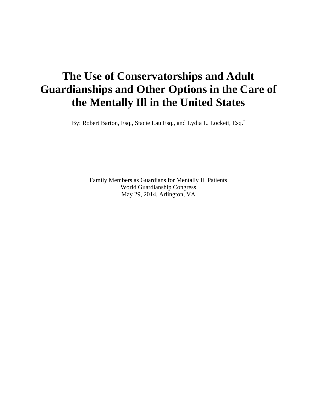# **The Use of Conservatorships and Adult Guardianships and Other Options in the Care of the Mentally Ill in the United States**

By: Robert Barton, Esq., Stacie Lau Esq., and Lydia L. Lockett, Esq.\*

Family Members as Guardians for Mentally Ill Patients World Guardianship Congress May 29, 2014, Arlington, VA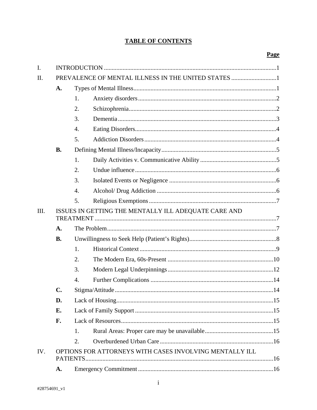# **TABLE OF CONTENTS**

| $\mathbf{I}$ . |                                                                     |                  |  |  |  |
|----------------|---------------------------------------------------------------------|------------------|--|--|--|
| II.            | PREVALENCE OF MENTAL ILLNESS IN THE UNITED STATES 1                 |                  |  |  |  |
|                | A.                                                                  |                  |  |  |  |
|                |                                                                     | 1.               |  |  |  |
|                |                                                                     | 2.               |  |  |  |
|                |                                                                     | 3.               |  |  |  |
|                |                                                                     | 4.               |  |  |  |
|                |                                                                     | 5.               |  |  |  |
|                | <b>B.</b>                                                           |                  |  |  |  |
|                |                                                                     | 1.               |  |  |  |
|                |                                                                     | 2.               |  |  |  |
|                |                                                                     | 3.               |  |  |  |
|                |                                                                     | $\overline{4}$ . |  |  |  |
|                |                                                                     | 5.               |  |  |  |
| III.           | ISSUES IN GETTING THE MENTALLY ILL ADEQUATE CARE AND                |                  |  |  |  |
|                | A.                                                                  |                  |  |  |  |
|                | <b>B.</b>                                                           |                  |  |  |  |
|                |                                                                     | 1.               |  |  |  |
|                |                                                                     | 2.               |  |  |  |
|                |                                                                     |                  |  |  |  |
|                |                                                                     | 3.               |  |  |  |
|                |                                                                     | 4.               |  |  |  |
|                | C.                                                                  |                  |  |  |  |
|                | D.                                                                  |                  |  |  |  |
|                | Е.                                                                  |                  |  |  |  |
|                | F.                                                                  |                  |  |  |  |
|                |                                                                     | 1.               |  |  |  |
|                |                                                                     | 2.               |  |  |  |
| IV.            | OPTIONS FOR ATTORNEYS WITH CASES INVOLVING MENTALLY ILL<br>PATIENTS |                  |  |  |  |
|                | A.                                                                  |                  |  |  |  |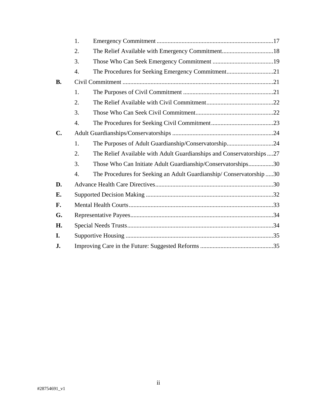|                | 1.               |                                                                       |  |  |  |  |
|----------------|------------------|-----------------------------------------------------------------------|--|--|--|--|
|                | 2.               | The Relief Available with Emergency Commitment18                      |  |  |  |  |
|                | 3.               |                                                                       |  |  |  |  |
|                | 4.               |                                                                       |  |  |  |  |
| <b>B.</b>      |                  |                                                                       |  |  |  |  |
|                | 1.               |                                                                       |  |  |  |  |
|                | 2.               |                                                                       |  |  |  |  |
|                | 3.               |                                                                       |  |  |  |  |
|                | 4.               |                                                                       |  |  |  |  |
| $\mathbf{C}$ . |                  |                                                                       |  |  |  |  |
|                | 1.               | The Purposes of Adult Guardianship/Conservatorship24                  |  |  |  |  |
|                | 2.               | The Relief Available with Adult Guardianships and Conservatorships 27 |  |  |  |  |
|                | 3.               | Those Who Can Initiate Adult Guardianship/Conservatorships30          |  |  |  |  |
|                | $\overline{4}$ . | The Procedures for Seeking an Adult Guardianship/Conservatorship30    |  |  |  |  |
| D.             |                  |                                                                       |  |  |  |  |
| E.             |                  |                                                                       |  |  |  |  |
| F.             |                  |                                                                       |  |  |  |  |
| G.             |                  |                                                                       |  |  |  |  |
| H.             |                  |                                                                       |  |  |  |  |
| I.             |                  |                                                                       |  |  |  |  |
| J.             |                  |                                                                       |  |  |  |  |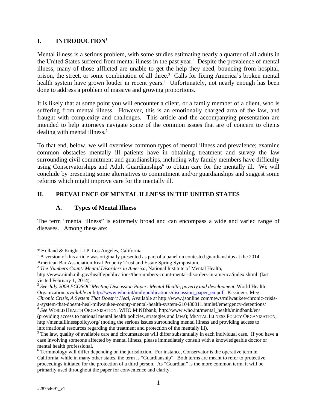# **I. INTRODUCTION1**

Mental illness is a serious problem, with some studies estimating nearly a quarter of all adults in the United States suffered from mental illness in the past year.<sup>2</sup> Despite the prevalence of mental illness, many of those afflicted are unable to get the help they need, bouncing from hospital, prison, the street, or some combination of all three.<sup>3</sup> Calls for fixing America's broken mental health system have grown louder in recent years.<sup>4</sup> Unfortunately, not nearly enough has been done to address a problem of massive and growing proportions.

It is likely that at some point you will encounter a client, or a family member of a client, who is suffering from mental illness. However, this is an emotionally charged area of the law, and fraught with complexity and challenges. This article and the accompanying presentation are intended to help attorneys navigate some of the common issues that are of concern to clients dealing with mental illness.<sup>5</sup>

To that end, below, we will overview common types of mental illness and prevalence; examine common obstacles mentally ill patients have in obtaining treatment and survey the law surrounding civil commitment and guardianships, including why family members have difficulty using Conservatorships and Adult Guardianships<sup>6</sup> to obtain care for the mentally ill. We will conclude by presenting some alternatives to commitment and/or guardianships and suggest some reforms which might improve care for the mentally ill.

# **II. PREVALENCE OF MENTAL ILLNESS IN THE UNITED STATES**

# **A. Types of Mental Illness**

The term "mental illness" is extremely broad and can encompass a wide and varied range of diseases. Among these are:

a-system-that-doesnt-heal-milwaukee-county-mental-health-system-210480011.html#!/emergency-detentions/ 4 *See* WORLD HEALTH ORGANIZATION, WHO MiNDbank, http://www.who.int/mental\_health/mindbank/en/

<sup>\*</sup> Holland & Knight LLP, Los Angeles, California

<sup>&</sup>lt;sup>1</sup> A version of this article was originally presented as part of a panel on contested guardianships at the 2014 American Bar Association Real Property Trust and Estate Spring Symposium.

<sup>2</sup> *The Numbers Count: Mental Disorders in America*, National Institute of Mental Health,

http://www.nimh.nih.gov/health/publications/the-numbers-count-mental-disorders-in-america/index.shtml (last visited February 1, 2014).

<sup>3</sup> *See July 2009 ECOSOC Meeting Discussion Paper: Mental Health, poverty and development*, World Health Organization, *available at* http://www.who.int/nmh/publications/discussion\_paper\_en.pdf; Kissinger, Meg. *Chronic Crisis, A System That Doesn't Heal*, Available at http://www.jsonline.com/news/milwaukee/chronic-crisis-

<sup>(</sup>providing access to national mental health policies, strategies and laws); MENTAL ILLNESS POLICY ORGANIZATION, http://mentalillnesspolicy.org/ (noting the serious issues surrounding mental illness and providing access to informational resources regarding the treatment and protection of the mentally ill). 5

 $<sup>5</sup>$  The law, quality of available care and circumstances will differ substantially in each individual case. If you have a</sup> case involving someone affected by mental illness, please immediately consult with a knowledgeable doctor or mental health professional.

<sup>&</sup>lt;sup>6</sup> Terminology will differ depending on the jurisdiction. For instance, Conservator is the operative term in California, while in many other states, the term is "Guardianship". Both terms are meant to refer to protective proceedings initiated for the protection of a third person. As "Guardian" is the more common term, it will be primarily used throughout the paper for convenience and clarity.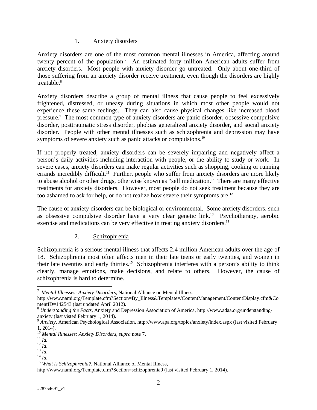#### 1. Anxiety disorders

Anxiety disorders are one of the most common mental illnesses in America, affecting around twenty percent of the population.<sup>7</sup> An estimated forty million American adults suffer from anxiety disorders. Most people with anxiety disorder go untreated. Only about one-third of those suffering from an anxiety disorder receive treatment, even though the disorders are highly treatable.<sup>8</sup>

Anxiety disorders describe a group of mental illness that cause people to feel excessively frightened, distressed, or uneasy during situations in which most other people would not experience these same feelings. They can also cause physical changes like increased blood pressure.<sup>9</sup> The most common type of anxiety disorders are panic disorder, obsessive compulsive disorder, posttraumatic stress disorder, phobias generalized anxiety disorder, and social anxiety disorder. People with other mental illnesses such as schizophrenia and depression may have symptoms of severe anxiety such as panic attacks or compulsions.<sup>10</sup>

If not properly treated, anxiety disorders can be severely impairing and negatively affect a person's daily activities including interaction with people, or the ability to study or work. In severe cases, anxiety disorders can make regular activities such as shopping, cooking or running errands incredibly difficult.<sup>11</sup> Further, people who suffer from anxiety disorders are more likely to abuse alcohol or other drugs, otherwise known as "self medication." There are many effective treatments for anxiety disorders. However, most people do not seek treatment because they are too ashamed to ask for help, or do not realize how severe their symptoms are.<sup>12</sup>

The cause of anxiety disorders can be biological or environmental. Some anxiety disorders, such as obsessive compulsive disorder have a very clear genetic link.<sup>13</sup> Psychotherapy, aerobic exercise and medications can be very effective in treating anxiety disorders.<sup>14</sup>

# 2. Schizophrenia

Schizophrenia is a serious mental illness that affects 2.4 million American adults over the age of 18. Schizophrenia most often affects men in their late teens or early twenties, and women in their late twenties and early thirties.15 Schizophrenia interferes with a person's ability to think clearly, manage emotions, make decisions, and relate to others. However, the cause of schizophrenia is hard to determine.

<sup>7</sup> *Mental Illnesses: Anxiety Disorders*, National Alliance on Mental Illness,

http://www.nami.org/Template.cfm?Section=By\_Illness&Template=/ContentManagement/ContentDisplay.cfm&Co ntentID=142543 (last updated April 2012).

<sup>8</sup> *Understanding the Facts*, Anxiety and Depression Association of America, http://www.adaa.org/understandinganxiety (last visted February 1, 2014).

<sup>9</sup> *Anxiety*, American Psychological Association, http://www.apa.org/topics/anxiety/index.aspx (last visited February 1, 2014).<br><sup>10</sup> Mental Illnesses: Anxiety Disorders, supra note 7.

<sup>11</sup> *Id.* 12 *Id.* 13 *Id.* 13 *Id.* 13 *Id.* 14 *Id.* 14 *Id.* 15 *What is Schizophrenia?*, National Alliance of Mental Illness,

http://www.nami.org/Template.cfm?Section=schizophrenia9 (last visited February 1, 2014).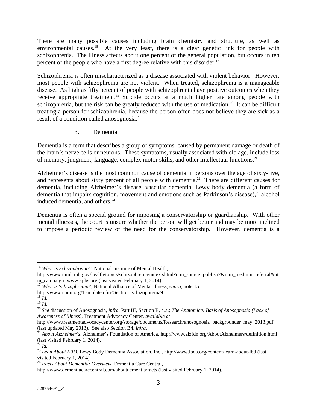There are many possible causes including brain chemistry and structure, as well as environmental causes.<sup>16</sup> At the very least, there is a clear genetic link for people with schizophrenia. The illness affects about one percent of the general population, but occurs in ten percent of the people who have a first degree relative with this disorder.17

Schizophrenia is often mischaracterized as a disease associated with violent behavior. However, most people with schizophrenia are not violent. When treated, schizophrenia is a manageable disease. As high as fifty percent of people with schizophrenia have positive outcomes when they receive appropriate treatment.<sup>18</sup> Suicide occurs at a much higher rate among people with schizophrenia, but the risk can be greatly reduced with the use of medication.<sup>19</sup> It can be difficult treating a person for schizophrenia, because the person often does not believe they are sick as a result of a condition called anosognosia.20

# 3. Dementia

Dementia is a term that describes a group of symptoms, caused by permanent damage or death of the brain's nerve cells or neurons. These symptoms, usually associated with old age, include loss of memory, judgment, language, complex motor skills, and other intellectual functions.21

Alzheimer's disease is the most common cause of dementia in persons over the age of sixty-five, and represents about sixty percent of all people with dementia.<sup>22</sup> There are different causes for dementia, including Alzheimer's disease, vascular dementia, Lewy body dementia (a form of dementia that impairs cognition, movement and emotions such as Parkinson's disease),<sup>23</sup> alcohol induced dementia, and others.<sup>24</sup>

Dementia is often a special ground for imposing a conservatorship or guardianship. With other mental illnesses, the court is unsure whether the person will get better and may be more inclined to impose a periodic review of the need for the conservatorship. However, dementia is a

 $\overline{a}$ <sup>16</sup> *What Is Schizophrenia?*, National Institute of Mental Health,

http://www.nimh.nih.gov/health/topics/schizophrenia/index.shtml?utm\_source=publish2&utm\_medium=referral&ut m\_campaign=www.kpbs.org (last visited February 1, 2014).

<sup>&</sup>lt;sup>17</sup> *What is Schizophrenia?*, National Alliance of Mental Illness, *supra*, note 15.<br>http://www.nami.org/Template.cfm?Section=schizophrenia9<br><sup>18</sup> *Id.* 

next<sub>19</sub> *Id.*<br><sup>20</sup> *See* discussion of Anosognosia, *infra*, Part III, Section B, 4.a.; *The Anatomical Basis of Anosognosia (Lack of Awareness of Illness)*, Treatment Advocacy Center, *available at*

http://www.treatmentadvocacycenter.org/storage/documents/Research/anosognosia\_backgrounder\_may\_2013.pdf (last updated May 2013). See also Section B4, *infra*.

<sup>&</sup>lt;sup>21</sup> *About Alzheimer's*, Alzheimer's Foundation of America, http://www.alzfdn.org/AboutAlzheimers/definition.html (last visited February 1, 2014).<br> $^{22}$  *Id.* 

<sup>&</sup>lt;sup>23</sup> *Lean About LBD*, Lewy Body Dementia Association, Inc., http://www.lbda.org/content/learn-about-lbd (last visited February 1, 2014).

<sup>24</sup> *Facts About Dementia: Overview*, Dementia Care Central,

http://www.dementiacarecentral.com/aboutdementia/facts (last visited February 1, 2014).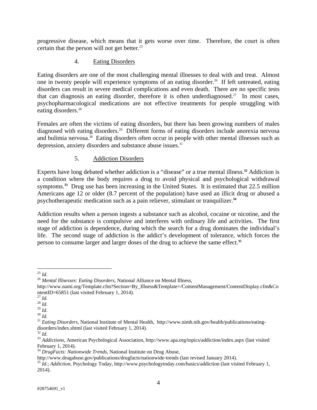progressive disease, which means that it gets worse over time. Therefore, the court is often certain that the person will not get better.<sup>25</sup>

# 4. Eating Disorders

Eating disorders are one of the most challenging mental illnesses to deal with and treat. Almost one in twenty people will experience symptoms of an eating disorder.<sup>26</sup> If left untreated, eating disorders can result in severe medical complications and even death. There are no specific tests that can diagnosis an eating disorder, therefore it is often underdiagnosed.<sup>27</sup> In most cases, psychopharmacological medications are not effective treatments for people struggling with eating disorders.<sup>28</sup>

Females are often the victims of eating disorders, but there has been growing numbers of males diagnosed with eating disorders.<sup>29</sup> Different forms of eating disorders include anorexia nervosa and bulimia nervosa.<sup>30</sup> Eating disorders often occur in people with other mental illnesses such as depression, anxiety disorders and substance abuse issues.<sup>31</sup>

# 5. Addiction Disorders

Experts have long debated whether addiction is a "disease" or a true mental illness.**<sup>32</sup>** Addiction is a condition where the body requires a drug to avoid physical and psychological withdrawal symptoms.<sup>33</sup> Drug use has been increasing in the United States. It is estimated that 22.5 million Americans age 12 or older (8.7 percent of the population) have used an illicit drug or abused a psychotherapeutic medication such as a pain reliever, stimulant or tranquilizer.**<sup>34</sup>**

Addiction results when a person ingests a substance such as alcohol, cocaine or nicotine, and the need for the substance is compulsive and interferes with ordinary life and activities. The first stage of addiction is dependence, during which the search for a drug dominates the individual's life. The second stage of addiction is the addict's development of tolerance, which forces the person to consume larger and larger doses of the drug to achieve the same effect.**<sup>35</sup>**

 $^{25}$   $\mathit{Id}.$ 

<sup>&</sup>lt;sup>26</sup> *Mental Illnesses: Eating Disorders*, National Alliance on Mental Illness,

http://www.nami.org/Template.cfm?Section=By\_Illness&Template=/ContentManagement/ContentDisplay.cfm&Co ntentID=65851 (last visited February 1, 2014).<br>
<sup>27</sup> Id. <sup>28</sup> Id.

<sup>&</sup>lt;sup>29</sup> *Id.*<br><sup>30</sup> *Id. Id.* 2016.<br><sup>31</sup> *Eating Disorders*, National Institute of Mental Health, http://www.nimh.nih.gov/health/publications/eatingdisorders/index.shtml (last visited February 1, 2014).<br> $^{32}$  *M*.

<sup>&</sup>lt;sup>33</sup> *Addictions*, American Psychological Association, http://www.apa.org/topics/addiction/index.aspx (last visited February 1, 2014).

<sup>&</sup>lt;sup>34</sup> *DrugFacts: Nationwide Trends*, National Institute on Drug Abuse,<br>http://www.drugabuse.gov/publications/drugfacts/nationwide-trends (last revised January 2014).

<sup>&</sup>lt;sup>35</sup> *Id.*; *Addiction*, Psychology Today, http://www.psychologytoday.com/basics/addiction (last visited February 1, 2014).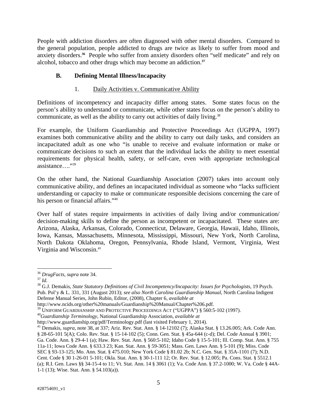People with addiction disorders are often diagnosed with other mental disorders. Compared to the general population, people addicted to drugs are twice as likely to suffer from mood and anxiety disorders.**<sup>36</sup>** People who suffer from anxiety disorders often "self medicate" and rely on alcohol, tobacco and other drugs which may become an addiction.**<sup>37</sup>**

# **B. Defining Mental Illness/Incapacity**

# 1. Daily Activities v. Communicative Ability

Definitions of incompetency and incapacity differ among states. Some states focus on the person's ability to understand or communicate, while other states focus on the person's ability to communicate, as well as the ability to carry out activities of daily living.<sup>38</sup>

For example, the Uniform Guardianship and Protective Proceedings Act (UGPPA, 1997) examines both communicative ability and the ability to carry out daily tasks, and considers an incapacitated adult as one who "is unable to receive and evaluate information or make or communicate decisions to such an extent that the individual lacks the ability to meet essential requirements for physical health, safety, or self-care, even with appropriate technological assistance…."39

On the other hand, the National Guardianship Association (2007) takes into account only communicative ability, and defines an incapacitated individual as someone who "lacks sufficient understanding or capacity to make or communicate responsible decisions concerning the care of his person or financial affairs."<sup>40</sup>

Over half of states require impairments in activities of daily living and/or communication/ decision-making skills to define the person as incompetent or incapacitated. These states are: Arizona, Alaska, Arkansas, Colorado, Connecticut, Delaware, Georgia, Hawaii, Idaho, Illinois, Iowa, Kansas, Massachusetts, Minnesota, Mississippi, Missouri, New York, North Carolina, North Dakota Oklahoma, Oregon, Pennsylvania, Rhode Island, Vermont, Virginia, West Virginia and Wisconsin.<sup>41</sup>

 $\overline{a}$ 

<sup>&</sup>lt;sup>36</sup> *DrugFacts*, *supra* note 34.<br><sup>37</sup> *Id.*<br><sup>38</sup> G.J. Demakis, *State Statutory Definitions of Civil Incompetency/Incapacity: Issues for Psychologists, 19 Psych.* Pub. Pol'y & L. 331, 331 (August 2013); *see also North Carolina Guardianship Manual*, North Carolina Indigent Defense Manual Series, John Rubin, Editor, (2008), Chapter 6, *available at*

http://www.ncids.org/other%20manuals/Guardianship%20Manual/Chapter%206.pdf.

<sup>&</sup>lt;sup>39</sup> UNIFORM GUARDIANSHIP AND PROTECTIVE PROCEEDINGS ACT ("UGPPA") § 560:5-102 (1997).<br><sup>40</sup>*Guardianship Terminology*, National Guardianship Association, *available at*<br>http://www.guardianship.org/pdf/Terminology.pdf (last

<sup>&</sup>lt;sup>41</sup> Demakis, *supra*, note 38, at 337; Ariz. Rev. Stat. Ann. § 14-12102 (7); Alaska Stat. § 13.26.005; Ark. Code Ann. § 28-65-101 5(A); Colo. Rev. Stat. § 15-14-102 (5); Conn. Gen. Stat. § 45a-644 (c-d); Del. Code Annual § 3901; Ga. Code. Ann. § 29-4-1 (a); Haw. Rev. Stat. Ann. § 560:5-102; Idaho Code § 15-5-101; Ill. Comp. Stat. Ann. § 755 11a-11; Iowa Code Ann. § 633.3 23; Kan. Stat. Ann. § 59-3051; Mass. Gen. Laws Ann. § 5-101 (9); Miss. Code SEC § 93-13-125; Mo. Ann. Stat. § 475.010; New York Code § 81.02 2b; N.C. Gen. Stat. § 35A-1101 (7); N.D. Cent. Code § 30 1-26-01 5-101; Okla. Stat. Ann. § 30-1-111 12; Or. Rev. Stat. § 12.005; Pa. Cons. Stat. § 5512.1 (a); R.I. Gen. Laws §§ 34-15-4 to 11; Vt. Stat. Ann. 14 § 3061 (1); Va. Code Ann. § 37.2-1000; W. Va. Code § 44A-1-1 (13); Wise. Stat. Ann. § 54.103(a)).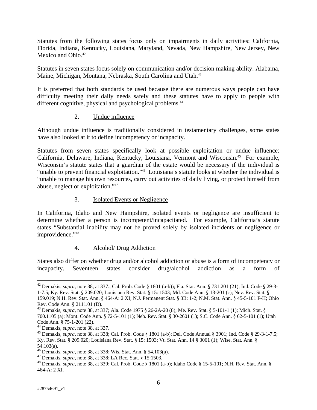Statutes from the following states focus only on impairments in daily activities: California, Florida, Indiana, Kentucky, Louisiana, Maryland, Nevada, New Hampshire, New Jersey, New Mexico and Ohio.<sup>42</sup>

Statutes in seven states focus solely on communication and/or decision making ability: Alabama, Maine, Michigan, Montana, Nebraska, South Carolina and Utah.<sup>43</sup>

It is preferred that both standards be used because there are numerous ways people can have difficulty meeting their daily needs safely and these statutes have to apply to people with different cognitive, physical and psychological problems.<sup>44</sup>

## 2. Undue influence

Although undue influence is traditionally considered in testamentary challenges, some states have also looked at it to define incompetency or incapacity.

Statutes from seven states specifically look at possible exploitation or undue influence: California, Delaware, Indiana, Kentucky, Louisiana, Vermont and Wisconsin.<sup>45</sup> For example, Wisconsin's statute states that a guardian of the estate would be necessary if the individual is "unable to prevent financial exploitation."46 Louisiana's statute looks at whether the individual is "unable to manage his own resources, carry out activities of daily living, or protect himself from abuse, neglect or exploitation."47

## 3. Isolated Events or Negligence

In California, Idaho and New Hampshire, isolated events or negligence are insufficient to determine whether a person is incompetent/incapacitated. For example, California's statute states "Substantial inability may not be proved solely by isolated incidents or negligence or improvidence."48

#### 4. Alcohol/ Drug Addiction

States also differ on whether drug and/or alcohol addiction or abuse is a form of incompetency or incapacity. Seventeen states consider drug/alcohol addiction as a form of

<sup>42</sup> Demakis, *supra*, note 38, at 337.; Cal. Prob. Code § 1801 (a-b)); Fla. Stat. Ann. § 731.201 (21); Ind. Code § 29-3- 1-7.5; Ky. Rev. Stat. § 209.020; Louisiana Rev. Stat. § 15: 1503; Md. Code Ann. § 13-201 (c); Nev. Rev. Stat. §

<sup>159.019;</sup> N.H. Rev. Stat. Ann. § 464-A: 2 XI; N.J. Permanent Stat. § 3B: 1-2; N.M. Stat. Ann. § 45-5-101 F-H; Ohio Rev. Code Ann. § 2111.01 (D).

<sup>43</sup> Demakis, *supra*, note 38, at 337; Ala. Code 1975 § 26-2A-20 (8); Me. Rev. Stat. § 5-101-1 (1); Mich. Stat. § 700.1105 (a); Mont. Code Ann. § 72-5-101 (1); Neb. Rev. Stat. § 30-2601 (1); S.C. Code Ann. § 62-5-101 (1); Utah Code Ann. § 75-1-201 (22).<br><sup>44</sup> Demakis, *supra*, note 38, at 337.

<sup>&</sup>lt;sup>45</sup> Demakis, *supra*, note 38, at 338; Cal. Prob. Code § 1801 (a-b); Del. Code Annual § 3901; Ind. Code § 29-3-1-7.5; Ky. Rev. Stat. § 209.020; Louisiana Rev. Stat. § 15: 1503; Vt. Stat. Ann. 14 § 3061 (1); Wise. Stat. Ann. §

<sup>54.103(</sup>a).<br><sup>46</sup> Demakis, *supra*, note 38, at 338; Wis. Stat. Ann. § 54.103(a).

<sup>&</sup>lt;sup>47</sup> Demakis, *supra*, note 38, at 338; LA Rec. Stat. § 15:1503.<br><sup>48</sup> Demakis, *supra*, note 38, at 339; Cal. Prob. Code § 1801 (a-b); Idaho Code § 15-5-101; N.H. Rev. Stat. Ann. § 464-A: 2 XI.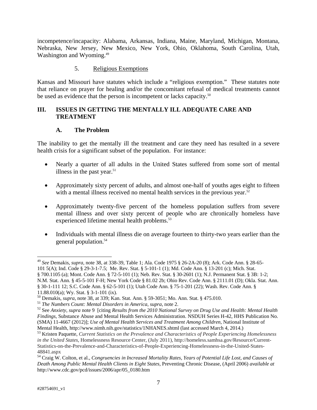incompetence/incapacity: Alabama, Arkansas, Indiana, Maine, Maryland, Michigan, Montana, Nebraska, New Jersey, New Mexico, New York, Ohio, Oklahoma, South Carolina, Utah, Washington and Wyoming.<sup>49</sup>

#### 5. Religious Exemptions

Kansas and Missouri have statutes which include a "religious exemption." These statutes note that reliance on prayer for healing and/or the concomitant refusal of medical treatments cannot be used as evidence that the person is incompetent or lacks capacity.<sup>50</sup>

# **III. ISSUES IN GETTING THE MENTALLY ILL ADEQUATE CARE AND TREATMENT**

# **A. The Problem**

The inability to get the mentally ill the treatment and care they need has resulted in a severe health crisis for a significant subset of the population. For instance:

- Nearly a quarter of all adults in the United States suffered from some sort of mental illness in the past year. $51$
- Approximately sixty percent of adults, and almost one-half of youths ages eight to fifteen with a mental illness received no mental health services in the previous year.<sup>52</sup>
- Approximately twenty-five percent of the homeless population suffers from severe mental illness and over sixty percent of people who are chronically homeless have experienced lifetime mental health problems.<sup>53</sup>
- Individuals with mental illness die on average fourteen to thirty-two years earlier than the general population.<sup>54</sup>

<sup>49</sup> *See* Demakis, *supra*, note 38, at 338-39, Table 1; Ala. Code 1975 § 26-2A-20 (8); Ark. Code Ann. § 28-65- 101 5(A); Ind. Code § 29-3-1-7.5; Me. Rev. Stat. § 5-101-1 (1); Md. Code Ann. § 13-201 (c); Mich. Stat. § 700.1105 (a); Mont. Code Ann. § 72-5-101 (1); Neb. Rev. Stat. § 30-2601 (1); N.J. Permanent Stat. § 3B: 1-2; N.M. Stat. Ann. § 45-5-101 F-H; New York Code § 81.02 2b; Ohio Rev. Code Ann. § 2111.01 (D); Okla. Stat. Ann.

<sup>§ 30-1-111 12;</sup> S.C. Code Ann. § 62-5-101 (1); Utah Code Ann. § 75-1-201 (22); Wash. Rev. Code Ann. § 11.88.010(a); Wy. Stat. § 3-1-101 (ix).<br><sup>50</sup> Demakis, *supra*, note 38, at 339; Kan. Stat. Ann. § 59-3051; Mo. Ann. Stat. § 475.010.

<sup>&</sup>lt;sup>51</sup> The Numbers Count: Mental Disorders in America, supra, note 2.<br><sup>52</sup> See Anxiety, supra note 9 [citing Results from the 2010 National Survey on Drug Use and Health: Mental Health *Findings*, Substance Abuse and Mental Health Services Administration. NSDUH Series H-42, HHS Publication No. (SMA) 11-4667 (2012)]; *Use of Mental Health Services and Treatment Among Children*, National Institute of Mental Health, http://www.nimh.nih.gov/statistics/1NHANES.shtml (last accessed March 4, 2014.) 53 Kristen Paquette, *Current Statistics on the Prevalence and Characteristics of People Experiencing Homelessness* 

*in the United States*, Homelessness Resource Center, (July 2011), http://homeless.samhsa.gov/Resource/Current-Statistics-on-the-Prevalence-and-Characteristics-of-People-Experiencing-Homelessness-in-the-United-States-48841.aspx

<sup>54</sup> Craig W. Colton, et al., *Congruencies in Increased Mortality Rates, Years of Potential Life Lost, and Causes of Death Among Public Mental Health Clients in Eight States*, Preventing Chronic Disease, (April 2006) *available at* http://www.cdc.gov/pcd/issues/2006/apr/05\_0180.htm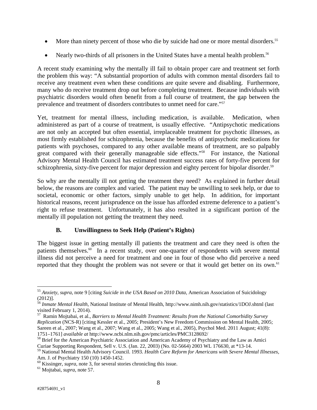- More than ninety percent of those who die by suicide had one or more mental disorders.<sup>55</sup>
- Nearly two-thirds of all prisoners in the United States have a mental health problem.<sup>56</sup>

A recent study examining why the mentally ill fail to obtain proper care and treatment set forth the problem this way: "A substantial proportion of adults with common mental disorders fail to receive any treatment even when these conditions are quite severe and disabling. Furthermore, many who do receive treatment drop out before completing treatment. Because individuals with psychiatric disorders would often benefit from a full course of treatment, the gap between the prevalence and treatment of disorders contributes to unmet need for care."57

Yet, treatment for mental illness, including medication, is available. Medication, when administered as part of a course of treatment, is usually effective. "Antipsychotic medications are not only an accepted but often essential, irreplaceable treatment for psychotic illnesses, as most firmly established for schizophrenia, because the benefits of antipsychotic medications for patients with psychoses, compared to any other available means of treatment, are so palpably great compared with their generally manageable side effects."58 For instance, the National Advisory Mental Health Council has estimated treatment success rates of forty-five percent for schizophrenia, sixty-five percent for major depression and eighty percent for bipolar disorder.<sup>59</sup>

So why are the mentally ill not getting the treatment they need? As explained in further detail below, the reasons are complex and varied. The patient may be unwilling to seek help, or due to societal, economic or other factors, simply unable to get help. In addition, for important historical reasons, recent jurisprudence on the issue has afforded extreme deference to a patient's right to refuse treatment. Unfortunately, it has also resulted in a significant portion of the mentally ill population not getting the treatment they need.

# **B. Unwillingness to Seek Help (Patient's Rights)**

The biggest issue in getting mentally ill patients the treatment and care they need is often the patients themselves.<sup>60</sup> In a recent study, over one-quarter of respondents with severe mental illness did not perceive a need for treatment and one in four of those who did perceive a need reported that they thought the problem was not severe or that it would get better on its own.<sup>61</sup>

1

<sup>55</sup> *Anxiety*, *supra*, note 9 [citing *Suicide in the USA Based on 2010 Data,* American Association of Suicidology (2012)].

<sup>56</sup> *Inmate Mental Health*, National Institute of Mental Health, http://www.nimh.nih.gov/statistics/1DOJ.shtml (last visited February 1, 2014).

<sup>57</sup> Ramin Mojtabai, et al., *Barriers to Mental Health Treatment: Results from the National Comorbidity Survey Replication* (NCS-R) [citing Kessler et al., 2005; President's New Freedom Commission on Mental Health, 2005; Sareen et al., 2007; Wang et al., 2007; Wang et al., 2005; Wang et al., 2005), Psychol Med. 2011 August; 41(8): 1751–1761] *available at* http://www.ncbi.nlm.nih.gov/pmc/articles/PMC3128692/

<sup>&</sup>lt;sup>58</sup> Brief for the American Psychiatric Association and American Academy of Psychiatry and the Law as Amici Curiae Supporting Respondent, Sell v. U.S. (Jan. 22, 2003) (No. 02-5664) 2003 WL 176630, at \*13-14.

<sup>59</sup> National Mental Health Advisory Council. 1993. *Health Care Reform for Americans with Severe Mental Illnesses,* Am. J. of Psychiatry 150 (10) 1450-1452.

<sup>60</sup> Kissinger, *supra*, note 3, for several stories chronicling this issue. 61 Mojtabai, *supra*, note 57.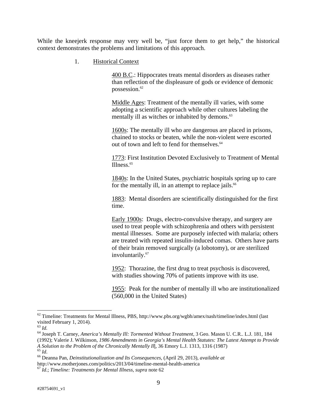While the kneejerk response may very well be, "just force them to get help," the historical context demonstrates the problems and limitations of this approach.

1. Historical Context

400 B.C.: Hippocrates treats mental disorders as diseases rather than reflection of the displeasure of gods or evidence of demonic possession.<sup>62</sup>

Middle Ages: Treatment of the mentally ill varies, with some adopting a scientific approach while other cultures labeling the mentally ill as witches or inhabited by demons.<sup>63</sup>

1600s: The mentally ill who are dangerous are placed in prisons, chained to stocks or beaten, while the non-violent were escorted out of town and left to fend for themselves.<sup>64</sup>

1773: First Institution Devoted Exclusively to Treatment of Mental Illness.65

1840s: In the United States, psychiatric hospitals spring up to care for the mentally ill, in an attempt to replace jails. $66$ 

1883: Mental disorders are scientifically distinguished for the first time.

Early 1900s: Drugs, electro-convulsive therapy, and surgery are used to treat people with schizophrenia and others with persistent mental illnesses. Some are purposely infected with malaria; others are treated with repeated insulin-induced comas. Others have parts of their brain removed surgically (a lobotomy), or are sterilized involuntarily.<sup>67</sup>

1952: Thorazine, the first drug to treat psychosis is discovered, with studies showing 70% of patients improve with its use.

1955: Peak for the number of mentally ill who are institutionalized (560,000 in the United States)

 $62$  Timeline: Treatments for Mental Illness, PBS, http://www.pbs.org/wgbh/amex/nash/timeline/index.html (last visited February 1, 2014).<br> $^{63}$  *Id.* 

<sup>63</sup> *Id.* 64 Joseph T. Carney, *America's Mentally Ill: Tormented Without Treatment*, 3 Geo. Mason U. C.R.. L.J. 181, 184

<sup>(1992);</sup> Valerie J. Wilkinson, *1986 Amendments in Georgia's Mental Health Statutes: The Latest Attempt to Provide* 

*A Solution to the Problem of the Chronically Mentally Il*l, 36 Emory L.J. 1313, 1316 (1987) 65 *Id*. 66 Deanna Pan, *Deinstitutionalization and Its Consequences*, (April 29, 2013), *available at*

http://www.motherjones.com/politics/2013/04/timeline-mental-health-america

<sup>67</sup> *Id*.; *Timeline: Treatments for Mental Illness*, *supra* note 62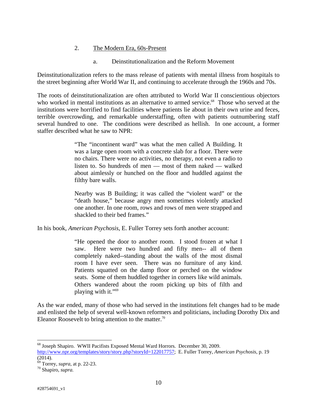## 2. The Modern Era, 60s-Present

a. Deinstitutionalization and the Reform Movement

Deinstitutionalization refers to the mass release of patients with mental illness from hospitals to the street beginning after World War II, and continuing to accelerate through the 1960s and 70s.

The roots of deinstitutionalization are often attributed to World War II conscientious objectors who worked in mental institutions as an alternative to armed service.<sup>68</sup> Those who served at the institutions were horrified to find facilities where patients lie about in their own urine and feces, terrible overcrowding, and remarkable understaffing, often with patients outnumbering staff several hundred to one. The conditions were described as hellish. In one account, a former staffer described what he saw to NPR:

> "The "incontinent ward" was what the men called A Building. It was a large open room with a concrete slab for a floor. There were no chairs. There were no activities, no therapy, not even a radio to listen to. So hundreds of men — most of them naked — walked about aimlessly or hunched on the floor and huddled against the filthy bare walls.

> Nearby was B Building; it was called the "violent ward" or the "death house," because angry men sometimes violently attacked one another. In one room, rows and rows of men were strapped and shackled to their bed frames."

In his book, *American Psychosis*, E. Fuller Torrey sets forth another account:

"He opened the door to another room. I stood frozen at what I saw. Here were two hundred and fifty men-- all of them completely naked--standing about the walls of the most dismal room I have ever seen. There was no furniture of any kind. Patients squatted on the damp floor or perched on the window seats. Some of them huddled together in corners like wild animals. Others wandered about the room picking up bits of filth and playing with it."69

As the war ended, many of those who had served in the institutions felt changes had to be made and enlisted the help of several well-known reformers and politicians, including Dorothy Dix and Eleanor Roosevelt to bring attention to the matter.<sup>70</sup>

1

<sup>68</sup> Joseph Shapiro. WWII Pacifists Exposed Mental Ward Horrors. December 30, 2009. http://www.npr.org/templates/story/story.php?storyId=122017757; E. Fuller Torrey, *American Psychosis*, p. 19 (2014).

<sup>69</sup> Torrey, *supra*, at p. 22-23. 70 Shapiro*, supra.*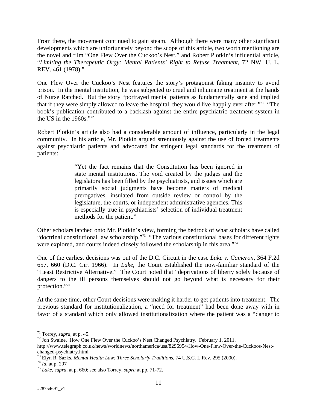From there, the movement continued to gain steam. Although there were many other significant developments which are unfortunately beyond the scope of this article, two worth mentioning are the novel and film "One Flew Over the Cuckoo's Nest," and Robert Plotkin's influential article, "*Limiting the Therapeutic Orgy: Mental Patients' Right to Refuse Treatment*, 72 NW. U. L. REV. 461 (1978)."

One Flew Over the Cuckoo's Nest features the story's protagonist faking insanity to avoid prison. In the mental institution, he was subjected to cruel and inhumane treatment at the hands of Nurse Ratched. But the story "portrayed mental patients as fundamentally sane and implied that if they were simply allowed to leave the hospital, they would live happily ever after."71 "The book's publication contributed to a backlash against the entire psychiatric treatment system in the US in the 1960s."72

Robert Plotkin's article also had a considerable amount of influence, particularly in the legal community. In his article, Mr. Plotkin argued strenuously against the use of forced treatments against psychiatric patients and advocated for stringent legal standards for the treatment of patients:

> "Yet the fact remains that the Constitution has been ignored in state mental institutions. The void created by the judges and the legislators has been filled by the psychiatrists, and issues which are primarily social judgments have become matters of medical prerogatives, insulated from outside review or control by the legislature, the courts, or independent administrative agencies. This is especially true in psychiatrists' selection of individual treatment methods for the patient."

Other scholars latched onto Mr. Plotkin's view, forming the bedrock of what scholars have called "doctrinal constitutional law scholarship."73 "The various constitutional bases for different rights were explored, and courts indeed closely followed the scholarship in this area."<sup>74</sup>

One of the earliest decisions was out of the D.C. Circuit in the case *Lake v. Cameron*, 364 F.2d 657, 660 (D.C. Cir. 1966). In *Lake*, the Court established the now-familiar standard of the "Least Restrictive Alternative." The Court noted that "deprivations of liberty solely because of dangers to the ill persons themselves should not go beyond what is necessary for their protection."75

At the same time, other Court decisions were making it harder to get patients into treatment. The previous standard for institutionalization, a "need for treatment" had been done away with in favor of a standard which only allowed institutionalization where the patient was a "danger to

 $71$  Torrey, *supra*, at p. 45.

<sup>&</sup>lt;sup>72</sup> Jon Swaine. How One Flew Over the Cuckoo's Nest Changed Psychiatry. February 1, 2011.

http://www.telegraph.co.uk/news/worldnews/northamerica/usa/8296954/How-One-Flew-Over-the-Cuckoos-Nestchanged-psychiatry.html

<sup>73</sup> Elyn R. Sazks, *Mental Health Law: Three Scholarly Traditions*, 74 U.S.C. L.Rev. 295 (2000). 74 *Id*. at p. 297 75 *Lake*, *supra*, at p. 660; see also Torrey, *supra* at pp. 71-72.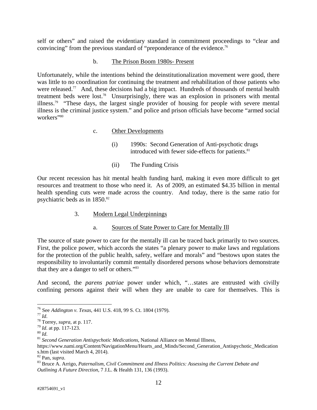self or others" and raised the evidentiary standard in commitment proceedings to "clear and convincing" from the previous standard of "preponderance of the evidence.<sup>76</sup>

#### b. The Prison Boom 1980s- Present

Unfortunately, while the intentions behind the deinstitutionalization movement were good, there was little to no coordination for continuing the treatment and rehabilitation of those patients who were released.<sup>77</sup> And, these decisions had a big impact. Hundreds of thousands of mental health treatment beds were lost.78 Unsurprisingly, there was an explosion in prisoners with mental illness.79 "These days, the largest single provider of housing for people with severe mental illness is the criminal justice system." and police and prison officials have become "armed social workers"<sup>80</sup>

## c. Other Developments

- (i) 1990s: Second Generation of Anti-psychotic drugs introduced with fewer side-effects for patients.<sup>81</sup>
- (ii) The Funding Crisis

Our recent recession has hit mental health funding hard, making it even more difficult to get resources and treatment to those who need it. As of 2009, an estimated \$4.35 billion in mental health spending cuts were made across the country. And today, there is the same ratio for psychiatric beds as in  $1850.^{82}$ 

# 3. Modern Legal Underpinnings

# a. Sources of State Power to Care for Mentally Ill

The source of state power to care for the mentally ill can be traced back primarily to two sources. First, the police power, which accords the states "a plenary power to make laws and regulations for the protection of the public health, safety, welfare and morals" and "bestows upon states the responsibility to involuntarily commit mentally disordered persons whose behaviors demonstrate that they are a danger to self or others."83

And second, the *parens patriae* power under which, "…states are entrusted with civilly confining persons against their will when they are unable to care for themselves. This is

<sup>&</sup>lt;sup>76</sup> See *Addington v. Texas*, 441 U.S. 418, 99 S. Ct. 1804 (1979).<br>
<sup>77</sup> Id.<br>
<sup>78</sup> Torrey, *supra*, at p. 117.<br>
<sup>79</sup> Id. at pp. 117-123.<br>
<sup>80</sup> Id.<br>
<sup>81</sup> Second Generation Antispychotic Medications, National Alliance on M

https://www.nami.org/Content/NavigationMenu/Hearts\_and\_Minds/Second\_Generation\_Antispychotic\_Medication s.htm (last visited March 4, 2014).<br><sup>82</sup> Pan, *supra*.

<sup>83</sup> Bruce A. Arrigo, Paternalism, Civil Commitment and Illness Politics: Assessing the Current Debate and *Outlining A Future Direction*, 7 J.L. & Health 131, 136 (1993).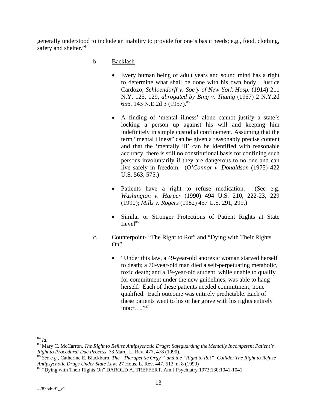generally understood to include an inability to provide for one's basic needs; e.g., food, clothing, safety and shelter."<sup>84</sup>

- b. Backlash
	- Every human being of adult years and sound mind has a right to determine what shall be done with his own body. Justice Cardozo, *Schloendorff v. Soc'y of New York Hosp.* (1914) 211 N.Y. 125, 129, *abrogated by Bing v. Thunig* (1957) 2 N.Y.2d 656, 143 N.E.2d 3 (1957).<sup>85</sup>
	- A finding of 'mental illness' alone cannot justify a state's locking a person up against his will and keeping him indefinitely in simple custodial confinement. Assuming that the term "mental illness" can be given a reasonably precise content and that the 'mentally ill' can be identified with reasonable accuracy, there is still no constitutional basis for confining such persons involuntarily if they are dangerous to no one and can live safely in freedom. (*O'Connor v. Donaldson* (1975) 422 U.S. 563, 575.)
	- Patients have a right to refuse medication. (See e.g. *Washington v. Harper* (1990) 494 U.S. 210, 222-23, 229 (1990); *Mills v. Rogers* (1982) 457 U.S. 291, 299.)
	- Similar or Stronger Protections of Patient Rights at State  $Level<sup>86</sup>$
- c. Counterpoint- "The Right to Rot" and "Dying with Their Rights On"
	- "Under this law, a 49-year-old anorexic woman starved herself to death; a 70-year-old man died a self-perpetuating metabolic, toxic death; and a 19-year-old student, while unable to qualify for commitment under the new guidelines, was able to hang herself. Each of these patients needed commitment; none qualified. Each outcome was entirely predictable. Each of these patients went to his or her grave with his rights entirely intact…."87

 $^{84}$   $\mathit{Id}.$ 

<sup>&</sup>lt;sup>85</sup> Mary C. McCarron, *The Right to Refuse Antipsychotic Drugs: Safeguarding the Mentally Incompetent Patient's Right to Procedural Due Process, 73 Marq. L. Rev. 477, 478 (1990).*<br><sup>86</sup> *See e.g.*, Catherine E. Blackburn, *The "Therapeutic Orgy"' and the "Right to Rot"' Collide: The Right to Refuse* 

*Antipsychotic Drugs Under State Law*, 27 Hous. L. Rev. 447, 513, n. 8 (1990)<br><sup>87</sup> "Dying with Their Rights On" DAROLD A. TREFFERT. Am J Psychiatry 1973;130:1041-1041.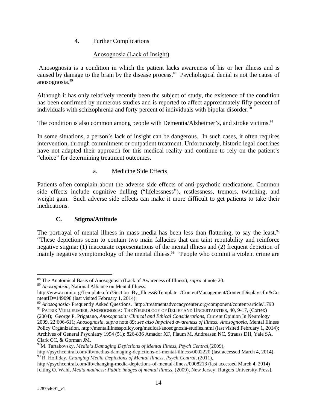# 4. Further Complications

# Anosognosia (Lack of Insight)

 Anosognosia is a condition in which the patient lacks awareness of his or her illness and is caused by damage to the brain by the disease process.<sup>88</sup> Psychological denial is not the cause of anosognosia.**<sup>89</sup>**

Although it has only relatively recently been the subject of study, the existence of the condition has been confirmed by numerous studies and is reported to affect approximately fifty percent of individuals with schizophrenia and forty percent of individuals with bipolar disorder.<sup>90</sup>

The condition is also common among people with Dementia/Alzheimer's, and stroke victims.<sup>91</sup>

In some situations, a person's lack of insight can be dangerous. In such cases, it often requires intervention, through commitment or outpatient treatment. Unfortunately, historic legal doctrines have not adapted their approach for this medical reality and continue to rely on the patient's "choice" for determining treatment outcomes.

# a. Medicine Side Effects

Patients often complain about the adverse side effects of anti-psychotic medications. Common side effects include cognitive dulling ("lifelessness"), restlessness, tremors, twitching, and weight gain. Such adverse side effects can make it more difficult to get patients to take their medications.

# **C. Stigma/Attitude**

The portrayal of mental illness in mass media has been less than flattering, to say the least.<sup>92</sup> "These depictions seem to contain two main fallacies that can taint reputability and reinforce negative stigma: (1) inaccurate representations of the mental illness and (2) frequent depiction of mainly negative symptomology of the mental illness.<sup>93</sup> "People who commit a violent crime are

<sup>89</sup> *Anosognosia*, National Alliance on Mental Illness,

<sup>88</sup> The Anatomical Basis of Anosognosia (Lack of Awareness of Illness), *supra* at note 20.

http://www.nami.org/Template.cfm?Section=By\_Illness&Template=/ContentManagement/ContentDisplay.cfm&Co ntentID=149098 (last visited February 1, 2014).

<sup>90</sup> *Anosognosia*- Frequently Asked Questions. http://treatmentadvocacycenter.org/component/content/article/1790 <sup>91</sup> PATRIK VUILLEUMIER, ANOSOGNOSIA: THE NEUROLOGY OF BELIEF AND UNCERTAINTIES, 40, 9-17, (Cortex)

<sup>(2004);</sup> George P. Prigatano, *Anosognosia: Clinical and Ethical Considerations*, Current Opinion In Neurology 2009, 22:606-611; *Anosognosia*, *supra* note 89; *see also Impaired awareness of illness: Anosognosia*, Mental Illness Policy Organization, http://mentalillnesspolicy.org/medical/anosognosia-studies.html (last visited February 1, 2014); Archives of General Psychiatry 1994 (51): 826-836 Amador XF, Flaum M, Andreasen NC, Strauss DH, Yale SA, Clark CC, & Gorman JM.

<sup>92</sup>M. Tartakovsky, *Media's Damaging Depictions of Mental Illness*,.*Psych Central*,(2009),

http://psychcentral.com/lib/medias-damaging-depictions-of-mental-illness/0002220 (last accessed March 4, 2014). <sup>93</sup> R. Holliday, *Changing Media Depictions of Mental Illness*, *Psych Central*, (2011),

http://psychcentral.com/lib/changing-media-depictions-of-mental-illness/0008213 (last accessed March 4, 2014) [citing O. Wahl, *Media madness: Public images of mental illness*, (2009), New Jersey: Rutgers University Press].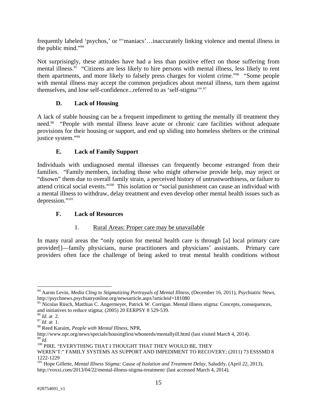frequently labeled 'psychos,' or "'maniacs'…inaccurately linking violence and mental illness in the public mind."94

Not surprisingly, these attitudes have had a less than positive effect on those suffering from mental illness.<sup>95</sup> "Citizens are less likely to hire persons with mental illness, less likely to rent them apartments, and more likely to falsely press charges for violent crime."96 "Some people with mental illness may accept the common prejudices about mental illness, turn them against themselves, and lose self-confidence...referred to as 'self-stigma'".<sup>97</sup>

# **D. Lack of Housing**

A lack of stable housing can be a frequent impediment to getting the mentally ill treatment they need.<sup>98</sup> "People with mental illness leave acute or chronic care facilities without adequate provisions for their housing or support, and end up sliding into homeless shelters or the criminal justice system."99

# **E. Lack of Family Support**

Individuals with undiagnosed mental illnesses can frequently become estranged from their families. "Family members, including those who might otherwise provide help, may reject or "disown" them due to overall family strain, a perceived history of untrustworthiness, or failure to attend critical social events."100 This isolation or "social punishment can cause an individual with a mental illness to withdraw, delay treatment and even develop other mental health issues such as depression."101

# **F. Lack of Resources**

# 1. Rural Areas: Proper care may be unavailable

In many rural areas the "only option for mental health care is through [a] local primary care provider[]—family physicians, nurse practitioners and physicians' assistants. Primary care providers often face the challenge of being asked to treat mental health conditions without

 $\overline{a}$ 

98 Reed Karaim, *People with Mental Illness*, NPR, <sup>99</sup> *Id.*<br><sup>100</sup> PIRE. "EVERYTHING THAT I THOUGHT THAT THEY WOULD BE, THEY

<sup>94</sup> Aaron Levin, *Media Cling to Stigmatizing Portrayals of Mental Illness*, (December 16, 2011), Psychiatric News, http://psychnews.psychiatryonline.org/newsarticle.aspx?articleid=181080

<sup>&</sup>lt;sup>95</sup> Nicolas Rüsch, Matthias C. Angermeyer, Patrick W. Corrigan. Mental illness stigma: Concepts, consequences, and initiatives to reduce stigma; (2005) 20 EERPSY 8 529-539.<br><sup>96</sup> *Id.* at 2.

 $^{97}$  *Id.* at 1.

WEREN'T:" FAMILY SYSTEMS AS SUPPORT AND IMPEDIMENT TO RECOVERY; (2011) 73 ESSSMD 8 1222-1229

<sup>&</sup>lt;sup>101</sup> Hope Gillette, *Mental Illness Stigma: Cause of Isolation and Treatment Delay*, Saludify, (April 22, 2013), http://voxxi.com/2013/04/22/mental-illness-stigma-treatment/ (last accessed March 4, 2014).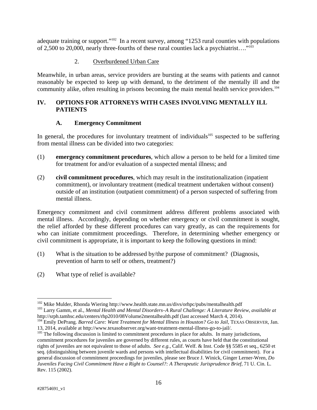adequate training or support."<sup>102</sup> In a recent survey, among "1253 rural counties with populations of 2,500 to 20,000, nearly three-fourths of these rural counties lack a psychiatrist…."103

# 2. Overburdened Urban Care

Meanwhile, in urban areas, service providers are bursting at the seams with patients and cannot reasonably be expected to keep up with demand, to the detriment of the mentally ill and the community alike, often resulting in prisons becoming the main mental health service providers.<sup>104</sup>

# **IV. OPTIONS FOR ATTORNEYS WITH CASES INVOLVING MENTALLY ILL PATIENTS**

# **A. Emergency Commitment**

In general, the procedures for involuntary treatment of individuals<sup>105</sup> suspected to be suffering from mental illness can be divided into two categories:

- (1) **emergency commitment procedures**, which allow a person to be held for a limited time for treatment for and/or evaluation of a suspected mental illness; and
- (2) **civil commitment procedures**, which may result in the institutionalization (inpatient commitment), or involuntary treatment (medical treatment undertaken without consent) outside of an institution (outpatient commitment) of a person suspected of suffering from mental illness.

Emergency commitment and civil commitment address different problems associated with mental illness. Accordingly, depending on whether emergency or civil commitment is sought, the relief afforded by these different procedures can vary greatly, as can the requirements for who can initiate commitment proceedings. Therefore, in determining whether emergency or civil commitment is appropriate, it is important to keep the following questions in mind:

- (1) What is the situation to be addressed by/the purpose of commitment? (Diagnosis, prevention of harm to self or others, treatment?)
- (2) What type of relief is available?

 $\overline{a}$ 

<sup>&</sup>lt;sup>102</sup> Mike Mulder, Rhonda Wiering http://www.health.state.mn.us/divs/orhpc/pubs/mentalhealth.pdf<br><sup>103</sup> Larry Gamm, et al., *Mental Health and Mental Disorders–A Rural Challenge: A Literature Review, <i>available at*<br>http://s

<sup>&</sup>lt;sup>104</sup> Emily DePrang. Barred Care: Want Treatment for Mental Illness in Houston? Go to Jail, TEXAS OBSERVER, Jan. 13, 2014, available at http://www.texasobserver.org/want-treatment-mental-illness-go-to-jail/.

<sup>&</sup>lt;sup>105</sup> The following discussion is limited to commitment procedures in place for adults. In many jurisdictions, commitment procedures for juveniles are governed by different rules, as courts have held that the constitutional rights of juveniles are not equivalent to those of adults. *See e.g.*, Calif. Welf. & Inst. Code §§ 5585 et seq., 6250 et seq. (distinguishing between juvenile wards and persons with intellectual disabilities for civil commitment). For a general discussion of commitment proceedings for juveniles, please see Bruce J. Winick, Ginger Lerner-Wren, *Do Juveniles Facing Civil Commitment Have a Right to Counsel?: A Therapeutic Jurisprudence Brief*, 71 U. Cin. L. Rev. 115 (2002).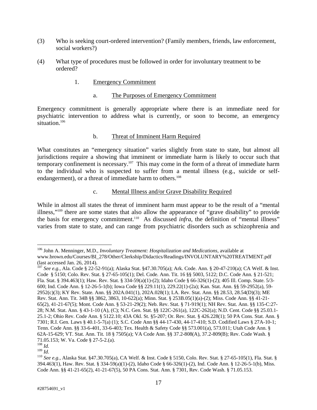- (3) Who is seeking court-ordered intervention? (Family members, friends, law enforcement, social workers?)
- (4) What type of procedures must be followed in order for involuntary treatment to be ordered?
	- 1. Emergency Commitment
		- a. The Purposes of Emergency Commitment

Emergency commitment is generally appropriate where there is an immediate need for psychiatric intervention to address what is currently, or soon to become, an emergency situation.<sup>106</sup>

#### b. Threat of Imminent Harm Required

What constitutes an "emergency situation" varies slightly from state to state, but almost all jurisdictions require a showing that imminent or immediate harm is likely to occur such that temporary confinement is necessary.<sup>107</sup> This may come in the form of a threat of immediate harm to the individual who is suspected to suffer from a mental illness (e.g., suicide or selfendangerment), or a threat of immediate harm to others.<sup>108</sup>

#### c. Mental Illness and/or Grave Disability Required

While in almost all states the threat of imminent harm must appear to be the result of a "mental illness,"109 there are some states that also allow the appearance of "grave disability" to provide the basis for emergency commitment.<sup>110</sup> As discussed *infra*, the definition of "mental illness" varies from state to state, and can range from psychiatric disorders such as schizophrenia and

 $\overline{a}$ 106 John A. Menninger, M.D., *Involuntary Treatment: Hospitalization and Medications*, available at www.brown.edu/Courses/BI\_278/Other/Clerkship/Didactics/Readings/INVOLUNTARY%20TREATMENT.pdf (last accessed Jan. 26, 2014).

<sup>107</sup> *See e.g.*, Ala. Code § 22-52-91(a); Alaska Stat. §47.30.705(a); Ark. Code. Ann. § 20-47-210(a); CA Welf. & Inst. Code § 5150; Colo. Rev. Stat. § 27-65-105(1); Del. Code. Ann. Tit. 16 §§ 5003, 5122; D.C. Code Ann. § 21-521; Fla. Stat. § 394.463(1); Haw. Rev. Stat. § 334-59(a)(1)-(2); Idaho Code § 66-326(1)-(2); 405 Ill. Comp. State. 5/3- 600; Ind. Code Ann. § 12-26-5-1(b); Iowa Code §§ 229.11(1), 229.22(1)-(2a); Kan. Stat. Ann. §§ 59-2952(a), 59- 2952(c)(3); KY Rev. State. Ann. §§ 202A.041(1), 202A.028(1); LA. Rev. Stat. Ann. §§ 28.53, 28.54(D)(3); ME Rev. Stat. Ann. Tit. 34B §§ 3862, 3863, 10-622(a); Minn. Stat. § 253B.05(1)(a)-(2); Miss. Code Ann. §§ 41-21- 65(2), 41-21-67(5); Mont. Code Ann. § 53-21-29(2); Neb. Rev. Stat. § 71-919(1); NH Rev. Stat. Ann. §§ 135-C:27- 28; N.M. Stat. Ann. § 43-1-10 (A), (C); N.C. Gen. Stat. §§ 122C-261(a), 122C-262(a); N.D. Cent. Code §§ 25.03.1- 25.1-2; Ohio Rev. Code Ann. § 5122.10; 43A Okl. St. §5-207; Or. Rev. Stat. § 426.228(1); 50 PA Cons. Stat. Ann. § 7301; R.I. Gen. Laws § 40.1-5-7(a) (1); S.C. Code Ann §§ 44-17-430, 44-17-410; S.D. Codified Laws § 27A-10-1; Tenn. Code Ann. §§ 33-6-401, 33-6-403; Tex. Health & Safety Code §§ 573.001(a), 573.011; Utah Code Ann. § 62A-15-629; VT. Stat. Ann. Tit. 18 § 7505(a); VA Code Ann. §§ 37.2-808(A), 37.2-809(B); Rev. Code Wash. § 71.05.153; W. Va. Code § 27-5-2.(a).

 $\stackrel{108}{\scriptstyle .} \stackrel{Id.}{\scriptstyle .}$   $\stackrel{109}{\scriptstyle .} \stackrel{Id.}{\scriptstyle .}$ 

<sup>109</sup> *Id*. 110 *See e.g.*, Alaska Stat. §47.30.705(a), CA Welf. & Inst. Code § 5150, Colo. Rev. Stat. § 27-65-105(1), Fla. Stat. § 394.463(1), Haw. Rev. Stat. § 334-59(a)(1)-(2), Idaho Code § 66-326(1)-(2), Ind. Code Ann. § 12-26-5-1(b), Miss. Code Ann. §§ 41-21-65(2), 41-21-67(5), 50 PA Cons. Stat. Ann. § 7301, Rev. Code Wash. § 71.05.153.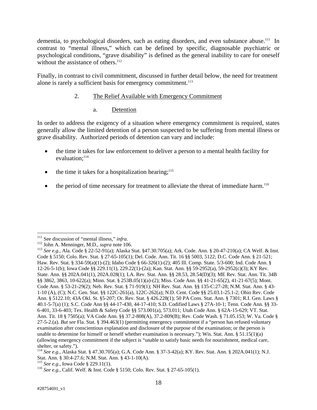dementia, to psychological disorders, such as eating disorders, and even substance abuse.<sup>111</sup> In contrast to "mental illness," which can be defined by specific, diagnosable psychiatric or psychological conditions, "grave disability" is defined as the general inability to care for oneself without the assistance of others. $112$ 

Finally, in contrast to civil commitment, discussed in further detail below, the need for treatment alone is rarely a sufficient basis for emergency commitment.<sup>113</sup>

# 2. The Relief Available with Emergency Commitment

#### a. Detention

In order to address the exigency of a situation where emergency commitment is required, states generally allow the limited detention of a person suspected to be suffering from mental illness or grave disability. Authorized periods of detention can vary and include:

- the time it takes for law enforcement to deliver a person to a mental health facility for evaluation;<sup>114</sup>
- $\bullet$  the time it takes for a hospitalization hearing;<sup>115</sup>
- the period of time necessary for treatment to alleviate the threat of immediate harm.<sup>116</sup>

1

<sup>&</sup>lt;sup>111</sup> See discussion of "mental illness," *infra*.<br><sup>112</sup> John A. Menninger, M.D., *supra* note 106.<br><sup>113</sup> See e.g., Ala. Code § 22-52-91(a); Alaska Stat. §47.30.705(a); Ark. Code. Ann. § 20-47-210(a); CA Welf. & Inst. Code § 5150; Colo. Rev. Stat. § 27-65-105(1); Del. Code. Ann. Tit. 16 §§ 5003, 5122; D.C. Code Ann. § 21-521; Haw. Rev. Stat. § 334-59(a)(1)-(2); Idaho Code § 66-326(1)-(2); 405 Ill. Comp. State. 5/3-600; Ind. Code Ann. § 12-26-5-1(b); Iowa Code §§ 229.11(1), 229.22(1)-(2a); Kan. Stat. Ann. §§ 59-2952(a), 59-2952(c)(3); KY Rev. State. Ann. §§ 202A.041(1), 202A.028(1); LA. Rev. Stat. Ann. §§ 28.53, 28.54(D)(3); ME Rev. Stat. Ann. Tit. 34B §§ 3862, 3863, 10-622(a); Minn. Stat. § 253B.05(1)(a)-(2); Miss. Code Ann. §§ 41-21-65(2), 41-21-67(5); Mont. Code Ann. § 53-21-29(2); Neb. Rev. Stat. § 71-919(1); NH Rev. Stat. Ann. §§ 135-C:27-28; N.M. Stat. Ann. § 43- 1-10 (A), (C); N.C. Gen. Stat. §§ 122C-261(a), 122C-262(a); N.D. Cent. Code §§ 25.03.1-25.1-2; Ohio Rev. Code Ann. § 5122.10; 43A Okl. St. §5-207; Or. Rev. Stat. § 426.228(1); 50 PA Cons. Stat. Ann. § 7301; R.I. Gen. Laws § 40.1-5-7(a) (1); S.C. Code Ann §§ 44-17-430, 44-17-410; S.D. Codified Laws § 27A-10-1; Tenn. Code Ann. §§ 33- 6-401, 33-6-403; Tex. Health & Safety Code §§ 573.001(a), 573.011; Utah Code Ann. § 62A-15-629; VT. Stat. Ann. Tit. 18 § 7505(a); VA Code Ann. §§ 37.2-808(A), 37.2-809(B); Rev. Code Wash. § 71.05.153; W. Va. Code § 27-5-2.(a). *But see* Fla. Stat. § 394.463(1) (permitting emergency commitment if a "person has refused voluntary examination after conscientious explanation and disclosure of the purpose of the examination; or the person is unable to determine for himself or herself whether examination is necessary."); Wis. Stat. Ann. § 51.15(1)(a) (allowing emergency commitment if the subject is "unable to satisfy basic needs for nourishment, medical care, shelter, or safety.").

<sup>114</sup> *See e.g.*, Alaska Stat. § 47.30.705(a); G.A. Code Ann. § 37-3-42(a); KY. Rev. Stat. Ann. § 202A.041(1); N.J. Stat. Ann. § 30:4-27.6; N.M. Stat. Ann. § 43-1-10(A).<br><sup>115</sup> See e.g., Iowa Code § 229.11(1).

<sup>&</sup>lt;sup>116</sup> *See e.g.*, Calif. Welf. & Inst. Code § 5150; Colo. Rev. Stat. § 27-65-105(1).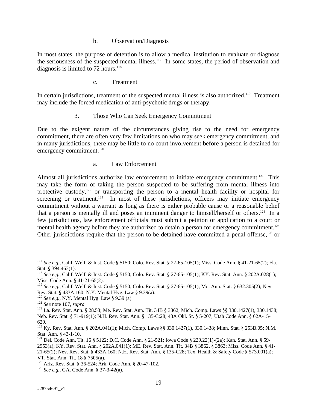#### b. Observation/Diagnosis

In most states, the purpose of detention is to allow a medical institution to evaluate or diagnose the seriousness of the suspected mental illness.<sup>117</sup> In some states, the period of observation and diagnosis is limited to 72 hours. $118$ 

#### c. Treatment

In certain jurisdictions, treatment of the suspected mental illness is also authorized.<sup>119</sup> Treatment may include the forced medication of anti-psychotic drugs or therapy.

#### 3. Those Who Can Seek Emergency Commitment

Due to the exigent nature of the circumstances giving rise to the need for emergency commitment, there are often very few limitations on who may seek emergency commitment, and in many jurisdictions, there may be little to no court involvement before a person is detained for emergency commitment.<sup>120</sup>

#### a. Law Enforcement

Almost all jurisdictions authorize law enforcement to initiate emergency commitment.<sup>121</sup> This may take the form of taking the person suspected to be suffering from mental illness into protective custody,<sup>122</sup> or transporting the person to a mental health facility or hospital for screening or treatment.<sup>123</sup> In most of these jurisdictions, officers may initiate emergency commitment without a warrant as long as there is either probable cause or a reasonable belief that a person is mentally ill and poses an imminent danger to himself/herself or others.124 In a few jurisdictions, law enforcement officials must submit a petition or application to a court or mental health agency before they are authorized to detain a person for emergency commitment.<sup>125</sup> Other jurisdictions require that the person to be detained have committed a penal offense,<sup>126</sup> or

<sup>117</sup> *See e.g.*, Calif. Welf. & Inst. Code § 5150; Colo. Rev. Stat. § 27-65-105(1); Miss. Code Ann. § 41-21-65(2); Fla. Stat. § 394.463(1).

<sup>118</sup> *See e.g.*, Calif. Welf. & Inst. Code § 5150; Colo. Rev. Stat. § 27-65-105(1); KY. Rev. Stat. Ann. § 202A.028(1); Miss. Code Ann. § 41-21-65(2).

<sup>119</sup> *See e.g.*, Calif. Welf. & Inst. Code § 5150; Colo. Rev. Stat. § 27-65-105(1); Mo. Ann. Stat. § 632.305(2); Nev. Rev. Stat. § 433A.160; N.Y. Mental Hyg. Law § 9.39(a).<br><sup>120</sup> See e.g., N.Y. Mental Hyg. Law § 9.39 (a).

<sup>121</sup> *See* note 107, *supra*.<br><sup>122</sup> La. Rev. Stat. Ann. § 28.53; Me. Rev. Stat. Ann. Tit. 34B § 3862; Mich. Comp. Laws §§ 330.1427(1), 330.1438; Neb. Rev. Stat. § 71-919(1); N.H. Rev. Stat. Ann. § 135-C:28; 43A Okl. St. § 5-207; Utah Code Ann. § 62A-15- 629.

<sup>123</sup> Ky. Rev. Stat. Ann. § 202A.041(1); Mich. Comp. Laws §§ 330.1427(1), 330.1438; Minn. Stat. § 253B.05; N.M. Stat. Ann. § 43-1-10.

<sup>124</sup> Del. Code Ann. Tit. 16 § 5122; D.C. Code Ann. § 21-521; Iowa Code § 229.22(1)-(2a); Kan. Stat. Ann. § 59- 2953(a); KY. Rev. Stat. Ann. § 202A.041(1); ME. Rev. Stat. Ann. Tit. 34B § 3862, § 3863; Miss. Code Ann. § 41- 21-65(2); Nev. Rev. Stat. § 433A.160; N.H. Rev. Stat. Ann. § 135-C28; Tex. Health & Safety Code § 573.001(a); VT. Stat. Ann. Tit. 18 § 7505(a).

<sup>125</sup> Ariz. Rev. Stat. § 36-524; Ark. Code Ann. § 20-47-102. 126 *See e.g.*, GA. Code Ann. § 37-3-42(a).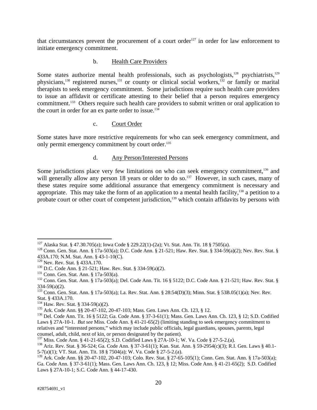that circumstances prevent the procurement of a court order<sup>127</sup> in order for law enforcement to initiate emergency commitment.

## b. Health Care Providers

Some states authorize mental health professionals, such as psychologists, $128$  psychiatrists, $129$ physicians,<sup>130</sup> registered nurses,<sup>131</sup> or county or clinical social workers,<sup>132</sup> or family or marital therapists to seek emergency commitment. Some jurisdictions require such health care providers to issue an affidavit or certificate attesting to their belief that a person requires emergency commitment.<sup>133</sup> Others require such health care providers to submit written or oral application to the court in order for an ex parte order to issue.<sup>134</sup>

## c. Court Order

Some states have more restrictive requirements for who can seek emergency commitment, and only permit emergency commitment by court order.<sup>135</sup>

#### d. Any Person/Interested Persons

Some jurisdictions place very few limitations on who can seek emergency commitment,<sup>136</sup> and will generally allow any person 18 years or older to do so.<sup>137</sup> However, in such cases, many of these states require some additional assurance that emergency commitment is necessary and appropriate. This may take the form of an application to a mental health facility, $138$  a petition to a probate court or other court of competent jurisdiction,<sup>139</sup> which contain affidavits by persons with

 $\overline{a}$ 

<sup>&</sup>lt;sup>127</sup> Alaska Stat. § 47.30.705(a); Iowa Code § 229.22(1)-(2a); Vt. Stat. Ann. Tit. 18 § 7505(a).<br><sup>128</sup> Conn. Gen. Stat. Ann. § 17a-503(a); D.C. Code Ann. § 21-521; Haw. Rev. Stat. § 334-59(a)(2); Nev. Rev. Stat. § 433A.170; N.M. Stat. Ann. § 43-1-10(C).<br><sup>129</sup> Nev. Rev. Stat. § 433A.170.

<sup>130</sup> D.C. Code Ann. § 21-521; Haw. Rev. Stat. § 334-59(a)(2).<br>
<sup>131</sup> Conn. Gen. Stat. Ann. § 17a-503(a).<br>
<sup>132</sup> Conn. Gen. Stat. Ann. § 17a-503(a); Del. Code Ann. Tit. 16 § 5122; D.C. Code Ann. § 21-521; Haw. Rev. Stat. § 334-59(a)(2).

<sup>133</sup> Conn. Gen. Stat. Ann. § 17a-503(a); La. Rev. Stat. Ann. § 28:54(D)(3); Minn. Stat. § 53B.05(1)(a); Nev. Rev. Stat. § 433A.170.<br><sup>134</sup> Haw. Rev. Stat. § 334-59(a)(2).

<sup>&</sup>lt;sup>135</sup> Ark. Code Ann. §§ 20-47-102, 20-47-103; Mass. Gen. Laws Ann. Ch. 123, § 12.<br><sup>136</sup> Del. Code Ann. Tit. 16 § 5122; Ga. Code Ann. § 37-3-61(1); Mass. Gen. Laws Ann. Ch. 123, § 12; S.D. Codified Laws § 27A-10-1. *But see* Miss. Code Ann. § 41-21-65(2) (limiting standing to seek emergency commitment to relatives and "interested persons," which may include public officials, legal guardians, spouses, parents, legal counsel, adult, child, next of kin, or person designated by the patient).<br><sup>137</sup> Miss. Code Ann. § 41-21-65(2); S.D. Codified Laws § 27A-10-1; W. Va. Code § 27-5-2.(a).

<sup>&</sup>lt;sup>138</sup> Ariz. Rev. Stat. § 36-524; Ga. Code Ann. § 37-3-61(1); Kan. Stat. Ann. § 59-2954(c)(3); R.I. Gen. Laws § 40.1-5-7(a)(1); VT. Stat. Ann. Tit. 18 § 7504(a); W. Va. Code § 27-5-2.(a).

<sup>&</sup>lt;sup>139</sup> Ark. Code Ann. §§ 20-47-102, 20-47-103; Colo. Rev. Stat. § 27-65-105(1); Conn. Gen. Stat. Ann. § 17a-503(a); Ga. Code Ann. § 37-3-61(1); Mass. Gen. Laws Ann. Ch. 123, § 12; Miss. Code Ann. § 41-21-65(2); S.D. Codified Laws § 27A-10-1; S.C. Code Ann. § 44-17-430.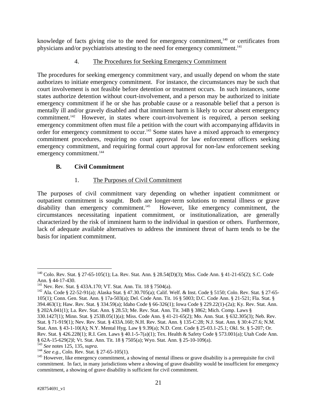knowledge of facts giving rise to the need for emergency commitment, $140$  or certificates from physicians and/or psychiatrists attesting to the need for emergency commitment.<sup>141</sup>

# 4. The Procedures for Seeking Emergency Commitment

The procedures for seeking emergency commitment vary, and usually depend on whom the state authorizes to initiate emergency commitment. For instance, the circumstances may be such that court involvement is not feasible before detention or treatment occurs. In such instances, some states authorize detention without court-involvement, and a person may be authorized to initiate emergency commitment if he or she has probable cause or a reasonable belief that a person is mentally ill and/or gravely disabled and that imminent harm is likely to occur absent emergency commitment.142 However, in states where court-involvement is required, a person seeking emergency commitment often must file a petition with the court with accompanying affidavits in order for emergency commitment to occur.<sup>143</sup> Some states have a mixed approach to emergency commitment procedures, requiring no court approval for law enforcement officers seeking emergency commitment, and requiring formal court approval for non-law enforcement seeking emergency commitment.<sup>144</sup>

# **B. Civil Commitment**

# 1. The Purposes of Civil Commitment

The purposes of civil commitment vary depending on whether inpatient commitment or outpatient commitment is sought. Both are longer-term solutions to mental illness or grave disability than emergency commitment.<sup>145</sup> However, like emergency commitment, the However, like emergency commitment, the circumstances necessitating inpatient commitment, or institutionalization, are generally characterized by the risk of imminent harm to the individual in question or others. Furthermore, lack of adequate available alternatives to address the imminent threat of harm tends to be the basis for inpatient commitment.

<sup>140</sup> Colo. Rev. Stat. § 27-65-105(1); La. Rev. Stat. Ann. § 28.54(D)(3); Miss. Code Ann. § 41-21-65(2); S.C. Code Ann. § 44-17-430.<br><sup>141</sup> Nev. Rev. Stat. § 433A.170; VT. Stat. Ann. Tit. 18 § 7504(a).

<sup>&</sup>lt;sup>142</sup> Ala. Code § 22-52-91(a); Alaska Stat. § 47.30.705(a); Calif. Welf. & Inst. Code § 5150; Colo. Rev. Stat. § 27-65-105(1); Conn. Gen. Stat. Ann. § 17a-503(a); Del. Code Ann. Tit. 16 § 5003; D.C. Code Ann. § 21-521; Fla. Stat. § 394.463(1); Haw. Rev. Stat. § 334.59(a); Idaho Code § 66-326(1); Iowa Code § 229.22(1)-(2a); Ky. Rev. Stat. Ann. § 202A.041(1); La. Rev. Stat. Ann. § 28.53; Me. Rev. Stat. Ann. Tit. 34B § 3862; Mich. Comp. Laws §

<sup>330.1427(1);</sup> Minn. Stat. § 253B.05(1)(a); Miss. Code Ann. § 41-21-65(2); Mo. Ann. Stat. § 632.305(3); Neb. Rev. Stat. § 71-919(1); Nev. Rev. Stat. § 433A.160; N.H. Rev. Stat. Ann. § 135-C:28; N.J. Stat. Ann. § 30:4-27.6; N.M. Stat. Ann. § 43-1-10(A); N.Y. Mental Hyg. Law § 9.39(a); N.D. Cent. Code § 25-03.1-25.1; Okl. St. § 5-207; Or. Rev. Stat. § 426.228(1); R.I. Gen. Laws § 40.1-5-7(a)(1); Tex. Health & Safety Code § 573.001(a); Utah Code Ann. § 62A-15-629(2)l; Vt. Stat. Ann. Tit. 18 § 7505(a); Wyo. Stat. Ann. § 25-10-109(a).

<sup>&</sup>lt;sup>144</sup> *See e.g.*, Colo. Rev. Stat. § 27-65-105(1).<br><sup>145</sup> However, like emergency commitment, a showing of mental illness or grave disability is a prerequisite for civil commitment. In fact, in many jurisdictions where a showing of grave disability would be insufficient for emergency commitment, a showing of grave disability is sufficient for civil commitment.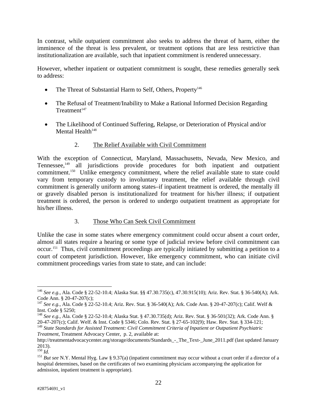In contrast, while outpatient commitment also seeks to address the threat of harm, either the imminence of the threat is less prevalent, or treatment options that are less restrictive than institutionalization are available, such that inpatient commitment is rendered unnecessary.

However, whether inpatient or outpatient commitment is sought, these remedies generally seek to address:

- The Threat of Substantial Harm to Self, Others, Property<sup>146</sup>
- The Refusal of Treatment/Inability to Make a Rational Informed Decision Regarding  $Treatment<sup>147</sup>$
- The Likelihood of Continued Suffering, Relapse, or Deterioration of Physical and/or Mental Health $148$

# 2. The Relief Available with Civil Commitment

With the exception of Connecticut, Maryland, Massachusetts, Nevada, New Mexico, and Tennessee,<sup>149</sup> all jurisdictions provide procedures for both inpatient and outpatient commitment.<sup>150</sup> Unlike emergency commitment, where the relief available state to state could vary from temporary custody to involuntary treatment, the relief available through civil commitment is generally uniform among states–if inpatient treatment is ordered, the mentally ill or gravely disabled person is institutionalized for treatment for his/her illness; if outpatient treatment is ordered, the person is ordered to undergo outpatient treatment as appropriate for his/her illness.

# 3. Those Who Can Seek Civil Commitment

Unlike the case in some states where emergency commitment could occur absent a court order, almost all states require a hearing or some type of judicial review before civil commitment can occur.151 Thus, civil commitment proceedings are typically initiated by submitting a petition to a court of competent jurisdiction. However, like emergency commitment, who can initiate civil commitment proceedings varies from state to state, and can include:

1

<sup>146</sup> *See e.g.*, Ala. Code § 22-52-10.4; Alaska Stat. §§ 47.30.735(c), 47.30.915(10); Ariz. Rev. Stat. § 36-540(A); Ark. Code Ann. § 20-47-207(c);

<sup>147</sup> *See e.g.*, Ala. Code § 22-52-10.4; Ariz. Rev. Stat. § 36-540(A); Ark. Code Ann. § 20-47-207(c); Calif. Welf & Inst. Code § 5250;

<sup>148</sup> *See e.g.*, Ala. Code § 22-52-10.4; Alaska Stat. § 47.30.735(d); Ariz. Rev. Stat. § 36-501(32); Ark. Code Ann. § 20-47-207(c); Calif. Welf. & Inst. Code § 5346; Colo. Rev. Stat. § 27-65-102(9); Haw. Rev. Stat. § 334-121;

<sup>149</sup> *State Standards for Assisted Treatment: Civil Commitment Criteria of Inpatient or Outpatient Psychiatric Treatment*, Treatment Advocacy Center, p. 2, available at:

http://treatmentadvocacycenter.org/storage/documents/Standards - The Text- June 2011.pdf (last updated January  $^{2013)}$ .<br><sup>150</sup> *Id.* 

<sup>151</sup> *But see* N.Y. Mental Hyg. Law § 9.37(a) (inpatient commitment may occur without a court order if a director of a hospital determines, based on the certificates of two examining physicians accompanying the application for admission, inpatient treatment is appropriate).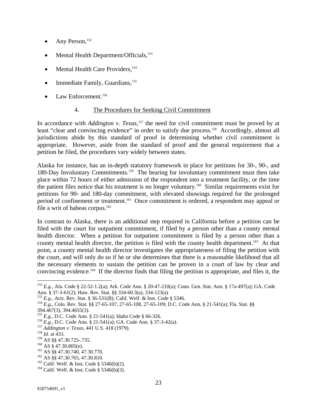- Any Person,<sup>152</sup>
- Mental Health Department/Officials,<sup>153</sup>
- Mental Health Care Providers.<sup>154</sup>
- Immediate Family, Guardians,<sup>155</sup>
- Law Enforcement.<sup>156</sup>

# 4. The Procedures for Seeking Civil Commitment

In accordance with *Addington v. Texas*,<sup>157</sup> the need for civil commitment must be proved by at least "clear and convincing evidence" in order to satisfy due process.<sup>158</sup> Accordingly, almost all jurisdictions abide by this standard of proof in determining whether civil commitment is appropriate. However, aside from the standard of proof and the general requirement that a petition be filed, the procedures vary widely between states.

Alaska for instance, has an in-depth statutory framework in place for petitions for 30-, 90-, and 180-Day Involuntary Commitments.159 The hearing for involuntary commitment must then take place within 72 hours of either admission of the respondent into a treatment facility, or the time the patient files notice that his treatment is no longer voluntary.160 Similar requirements exist for petitions for 90- and 180-day commitment, with elevated showings required for the prolonged period of confinement or treatment.161 Once commitment is ordered, a respondent may appeal or file a writ of habeas corpus. $162$ 

In contrast to Alaska, there is an additional step required in California before a petition can be filed with the court for outpatient commitment, if filed by a person other than a county mental health director. When a petition for outpatient commitment is filed by a person other than a county mental health director, the petition is filed with the county health department.<sup>163</sup> At that point, a county mental health director investigates the appropriateness of filing the petition with the court, and will only do so if he or she determines that there is a reasonable likelihood that all the necessary elements to sustain the petition can be proven in a court of law by clear and convincing evidence.164 If the director finds that filing the petition is appropriate, and files it, the

1

<sup>152</sup> *E.g.*, Ala. Code § 22-52-1.2(a); Ark. Code Ann. § 20-47-210(a); Conn. Gen. Stat. Ann. § 17a-497(a); GA. Code Ann. § 37-3-61(2); Haw. Rev. Stat. §§ 334-60.3(a), 334-123(a)<br><sup>153</sup> E.g., Ariz. Rev. Stat. § 36-531(B); Calif. Welf. & Inst. Code § 5346.

<sup>154</sup> *E.g.*, Colo. Rev. Stat. §§ 27-65-107, 27-65-108, 27-65-109; D.C. Code Ann. § 21-541(a); Fla. Stat. §§

<sup>394.467(3), 394.4655(3).&</sup>lt;br><sup>155</sup> E.g., D.C. Code Ann. § 21-541(a); Idaho Code § 66-326.

<sup>&</sup>lt;sup>156</sup> *E.g.*, D.C. Code Ann. § 21-541(a); GA. Code Ann. § 37-3-42(a).<br><sup>157</sup> *Addington v. Texas*, 441 U.S. 418 (1979).<br><sup>158</sup> *Id.* at 433.<br><sup>159</sup> AS §§ 47.30.725-.735.

<sup>&</sup>lt;sup>160</sup> AS § 47.30.805(e).<br><sup>161</sup> AS §§ 47.30.740, 47.30.770.<br><sup>162</sup> AS §§ 47.30.765, 47.30.810.<br><sup>163</sup> Calif. Welf. & Inst. Code § 5346(b)(2).<br><sup>164</sup> Calif. Welf. & Inst. Code § 5346(b)(3).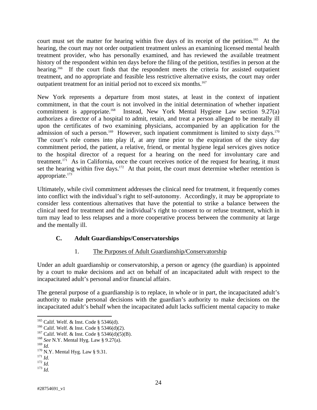court must set the matter for hearing within five days of its receipt of the petition.<sup>165</sup> At the hearing, the court may not order outpatient treatment unless an examining licensed mental health treatment provider, who has personally examined, and has reviewed the available treatment history of the respondent within ten days before the filing of the petition, testifies in person at the hearing.<sup>166</sup> If the court finds that the respondent meets the criteria for assisted outpatient treatment, and no appropriate and feasible less restrictive alternative exists, the court may order outpatient treatment for an initial period not to exceed six months.<sup>167</sup>

New York represents a departure from most states, at least in the context of inpatient commitment, in that the court is not involved in the initial determination of whether inpatient commitment is appropriate.<sup>168</sup> Instead, New York Mental Hygiene Law section  $9.27(a)$ authorizes a director of a hospital to admit, retain, and treat a person alleged to be mentally ill upon the certificates of two examining physicians, accompanied by an application for the admission of such a person.<sup>169</sup> However, such inpatient commitment is limited to sixty days.<sup>170</sup> The court's role comes into play if, at any time prior to the expiration of the sixty day commitment period, the patient, a relative, friend, or mental hygiene legal services gives notice to the hospital director of a request for a hearing on the need for involuntary care and treatment.<sup>171</sup> As in California, once the court receives notice of the request for hearing, it must set the hearing within five days.<sup>172</sup> At that point, the court must determine whether retention is appropriate.173

Ultimately, while civil commitment addresses the clinical need for treatment, it frequently comes into conflict with the individual's right to self-autonomy. Accordingly, it may be appropriate to consider less contentious alternatives that have the potential to strike a balance between the clinical need for treatment and the individual's right to consent to or refuse treatment, which in turn may lead to less relapses and a more cooperative process between the community at large and the mentally ill.

# **C. Adult Guardianships/Conservatorships**

# 1. The Purposes of Adult Guardianship/Conservatorship

Under an adult guardianship or conservatorship, a person or agency (the guardian) is appointed by a court to make decisions and act on behalf of an incapacitated adult with respect to the incapacitated adult's personal and/or financial affairs.

The general purpose of a guardianship is to replace, in whole or in part, the incapacitated adult's authority to make personal decisions with the guardian's authority to make decisions on the incapacitated adult's behalf when the incapacitated adult lacks sufficient mental capacity to make

<sup>&</sup>lt;sup>165</sup> Calif. Welf. & Inst. Code § 5346(d).

<sup>&</sup>lt;sup>166</sup> Calif. Welf. & Inst. Code § 5346(d)(2).<br><sup>167</sup> Calif. Welf. & Inst. Code § 5346(d)(5)(B).<br><sup>168</sup> *See* N.Y. Mental Hyg. Law § 9.27(a).<br><sup>169</sup> *Id* 

<sup>&</sup>lt;sup>170</sup> N.Y. Mental Hyg. Law § 9.31.<br><sup>171</sup> *Id.* <sup>172</sup> *Id.* <sup>173</sup> *Id.*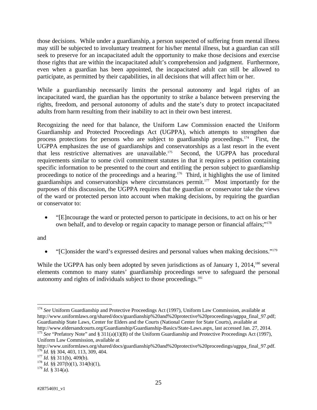those decisions. While under a guardianship, a person suspected of suffering from mental illness may still be subjected to involuntary treatment for his/her mental illness, but a guardian can still seek to preserve for an incapacitated adult the opportunity to make those decisions and exercise those rights that are within the incapacitated adult's comprehension and judgment. Furthermore, even when a guardian has been appointed, the incapacitated adult can still be allowed to participate, as permitted by their capabilities, in all decisions that will affect him or her.

While a guardianship necessarily limits the personal autonomy and legal rights of an incapacitated ward, the guardian has the opportunity to strike a balance between preserving the rights, freedom, and personal autonomy of adults and the state's duty to protect incapacitated adults from harm resulting from their inability to act in their own best interest.

Recognizing the need for that balance, the Uniform Law Commission enacted the Uniform Guardianship and Protected Proceedings Act (UGPPA), which attempts to strengthen due process protections for persons who are subject to guardianship proceedings.<sup>174</sup> First, the UGPPA emphasizes the use of guardianships and conservatorships as a last resort in the event that less restrictive alternatives are unavailable.175 Second, the UGPPA has procedural requirements similar to some civil commitment statutes in that it requires a petition containing specific information to be presented to the court and entitling the person subject to guardianship proceedings to notice of the proceedings and a hearing.<sup>176</sup> Third, it highlights the use of limited guardianships and conservatorships where circumstances permit.<sup>177</sup> Most importantly for the purposes of this discussion, the UGPPA requires that the guardian or conservator take the views of the ward or protected person into account when making decisions, by requiring the guardian or conservator to:

 "[E]ncourage the ward or protected person to participate in decisions, to act on his or her own behalf, and to develop or regain capacity to manage person or financial affairs;"<sup>178</sup>

and

1

"[C]onsider the ward's expressed desires and personal values when making decisions."179

While the UGPPA has only been adopted by seven jurisdictions as of January 1, 2014,<sup>180</sup> several elements common to many states' guardianship proceedings serve to safeguard the personal autonomy and rights of individuals subject to those proceedings.<sup>181</sup>

<sup>&</sup>lt;sup>174</sup> See Uniform Guardianship and Protective Proceedings Act (1997), Uniform Law Commission, available at http://www.uniformlaws.org/shared/docs/guardianship%20and%20protective%20proceedings/ugppa\_final\_97.pdf; Guardianship State Laws, Center for Elders and the Courts (National Center for State Courts), available at http://www.eldersandcourts.org/Guardianship/Guardianship-Basics/State-Laws.aspx, last accessed Jan. 27, 2014.<br><sup>175</sup> See "Prefatory Note" and § 311(a)(1)(B) of the Uniform Guardianship and Protective Proceedings Act (1997),

Uniform Law Commission, available at

http://www.uniformlaws.org/shared/docs/guardianship%20and%20protective%20proceedings/ugppa\_final\_97.pdf. <sup>176</sup> *Id.* §§ 304, 403, 113, 309, 404. 177 *Id.* §§ 311(b), 409(b). 178 *Id.* §§ 207(b)(1), 314(b)(1),

<sup>179</sup> *Id.* § 314(a).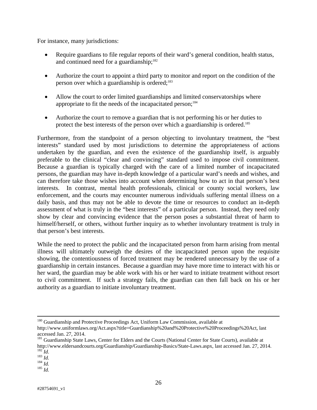For instance, many jurisdictions:

- Require guardians to file regular reports of their ward's general condition, health status, and continued need for a guardianship;<sup>182</sup>
- Authorize the court to appoint a third party to monitor and report on the condition of the person over which a guardianship is ordered;<sup>183</sup>
- Allow the court to order limited guardianships and limited conservatorships where appropriate to fit the needs of the incapacitated person;<sup>184</sup>
- Authorize the court to remove a guardian that is not performing his or her duties to protect the best interests of the person over which a guardianship is ordered.<sup>185</sup>

Furthermore, from the standpoint of a person objecting to involuntary treatment, the "best interests" standard used by most jurisdictions to determine the appropriateness of actions undertaken by the guardian, and even the existence of the guardianship itself, is arguably preferable to the clinical "clear and convincing" standard used to impose civil commitment. Because a guardian is typically charged with the care of a limited number of incapacitated persons, the guardian may have in-depth knowledge of a particular ward's needs and wishes, and can therefore take those wishes into account when determining how to act in that person's best interests. In contrast, mental health professionals, clinical or county social workers, law enforcement, and the courts may encounter numerous individuals suffering mental illness on a daily basis, and thus may not be able to devote the time or resources to conduct an in-depth assessment of what is truly in the "best interests" of a particular person. Instead, they need only show by clear and convincing evidence that the person poses a substantial threat of harm to himself/herself, or others, without further inquiry as to whether involuntary treatment is truly in that person's best interests.

While the need to protect the public and the incapacitated person from harm arising from mental illness will ultimately outweigh the desires of the incapacitated person upon the requisite showing, the contentiousness of forced treatment may be rendered unnecessary by the use of a guardianship in certain instances. Because a guardian may have more time to interact with his or her ward, the guardian may be able work with his or her ward to initiate treatment without resort to civil commitment. If such a strategy fails, the guardian can then fall back on his or her authority as a guardian to initiate involuntary treatment.

<sup>&</sup>lt;sup>180</sup> Guardianship and Protective Proceedings Act, Uniform Law Commission, available at

http://www.uniformlaws.org/Act.aspx?title=Guardianship%20and%20Protective%20Proceedings%20Act, last accessed Jan. 27, 2014.

<sup>&</sup>lt;sup>181</sup> Guardianship State Laws, Center for Elders and the Courts (National Center for State Courts), available at http://www.eldersandcourts.org/Guardianship/Guardianship-Basics/State-Laws.aspx, last accessed Jan. 27, 2014. 182 *Id*. 183 *Id.* <sup>184</sup> *Id.* <sup>185</sup> *Id.*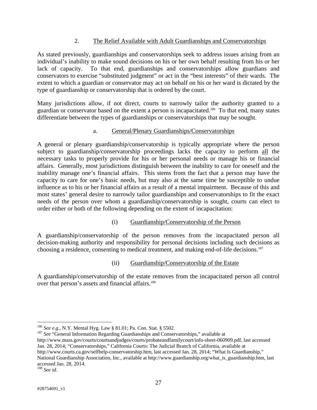# 2. The Relief Available with Adult Guardianships and Conservatorships

As stated previously, guardianships and conservatorships seek to address issues arising from an individual's inability to make sound decisions on his or her own behalf resulting from his or her lack of capacity. To that end, guardianships and conservatorships allow guardians and conservators to exercise "substituted judgment" or act in the "best interests" of their wards. The extent to which a guardian or conservator may act on behalf on his or her ward is dictated by the type of guardianship or conservatorship that is ordered by the court.

Many jurisdictions allow, if not direct, courts to narrowly tailor the authority granted to a guardian or conservator based on the extent a person is incapacitated.186 To that end, many states differentiate between the types of guardianships or conservatorships that may be sought.

# a. General/Plenary Guardianships/Conservatorships

A general or plenary guardianship/conservatorship is typically appropriate where the person subject to guardianship/conservatorship proceedings lacks the capacity to perform all the necessary tasks to properly provide for his or her personal needs or manage his or financial affairs. Generally, most jurisdictions distinguish between the inability to care for oneself and the inability manage one's financial affairs. This stems from the fact that a person may have the capacity to care for one's basic needs, but may also at the same time be susceptible to undue influence as to his or her financial affairs as a result of a mental impairment. Because of this and most states' general desire to narrowly tailor guardianships and conservatorships to fit the exact needs of the person over whom a guardianship/conservatorship is sought, courts can elect to order either or both of the following depending on the extent of incapacitation:

# (i) Guardianship/Conservatorship of the Person

A guardianship/conservatorship of the person removes from the incapacitated person all decision-making authority and responsibility for personal decisions including such decisions as choosing a residence, consenting to medical treatment, and making end-of-life decisions.187

# (ii) Guardianship/Conservatorship of the Estate

A guardianship/conservatorship of the estate removes from the incapacitated person all control over that person's assets and financial affairs.<sup>188</sup>

187 *See* "General Information Regarding Guardianships and Conservatorships," available at

http://www.courts.ca.gov/selfhelp-conservatorship.htm, last accessed Jan. 28, 2014; "What Is Guardianship," National Guardianship Association, Inc., available at http://www.guardianship.org/what\_is\_guardianship.htm, last accessed Jan. 28, 2014.

<sup>&</sup>lt;sup>186</sup> See e.g., N.Y. Mental Hyg. Law § 81.01; Pa. Con. Stat. § 5502.

http://www.mass.gov/courts/courtsandjudges/courts/probateandfamilycourt/info-sheet-060909.pdf, last accessed Jan. 28, 2014; "Conservatorships," California Courts: The Judicial Branch of California, available at

<sup>188</sup> *See id.*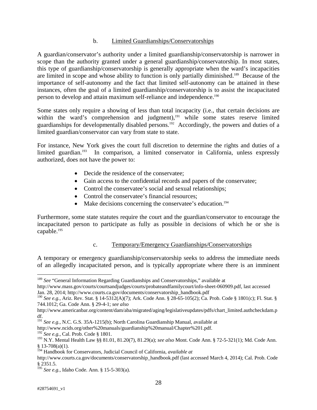## b. Limited Guardianships/Conservatorships

A guardian/conservator's authority under a limited guardianship/conservatorship is narrower in scope than the authority granted under a general guardianship/conservatorship. In most states, this type of guardianship/conservatorship is generally appropriate when the ward's incapacities are limited in scope and whose ability to function is only partially diminished.189 Because of the importance of self-autonomy and the fact that limited self-autonomy can be attained in these instances, often the goal of a limited guardianship/conservatorship is to assist the incapacitated person to develop and attain maximum self-reliance and independence.190

Some states only require a showing of less than total incapacity (i.e., that certain decisions are within the ward's comprehension and judgment),<sup>191</sup> while some states reserve limited guardianships for developmentally disabled persons.<sup>192</sup> Accordingly, the powers and duties of a limited guardian/conservator can vary from state to state.

For instance, New York gives the court full discretion to determine the rights and duties of a limited guardian.<sup>193</sup> In comparison, a limited conservator in California, unless expressly authorized, does not have the power to:

- Decide the residence of the conservatee;
- Gain access to the confidential records and papers of the conservatee;
- Control the conservatee's social and sexual relationships;
- Control the conservatee's financial resources;
- Make decisions concerning the conservatee's education.<sup>194</sup>

Furthermore, some state statutes require the court and the guardian/conservator to encourage the incapacitated person to participate as fully as possible in decisions of which he or she is capable.<sup>195</sup>

# c. Temporary/Emergency Guardianships/Conservatorships

A temporary or emergency guardianship/conservatorship seeks to address the immediate needs of an allegedly incapacitated person, and is typically appropriate where there is an imminent

http://www.ncids.org/other%20manuals/guardianship%20manual/Chapter%201.pdf.

1

<sup>&</sup>lt;sup>189</sup> See "General Information Regarding Guardianships and Conservatorships," available at http://www.mass.gov/courts/courtsandjudges/courts/probateandfamilycourt/info-sheet-060909.pdf, last accessed

Jan. 28, 2014; http://www.courts.ca.gov/documents/conservatorship\_handbook.pdf

<sup>190</sup> *See e.g.*, Ariz. Rev. Stat. § 14-5312(A)(7); Ark. Code Ann. § 28-65-105(2); Ca. Prob. Code § 1801(c); Fl. Stat. § 744.1012; Ga. Code Ann. § 29-4-1; *see also*

http://www.americanbar.org/content/dam/aba/migrated/aging/legislativeupdates/pdfs/chart\_limited.authcheckdam.p df.

<sup>191</sup> *See e.g.*, N.C. G.S. 35A-1215(b); North Carolina Guardianship Manual, available at

<sup>192</sup> *See e.g.*, Cal. Prob. Code § 1801.

<sup>193</sup> N.Y. Mental Health Law §§ 81.01, 81.20(7), 81.29(a); *see also* Mont. Code Ann. § 72-5-321(1); Md. Code Ann.  $§ 13-708(a)(1).$ 

<sup>194</sup> Handbook for Conservators, Judicial Council of California, *available at* 

http://www.courts.ca.gov/documents/conservatorship\_handbook.pdf (last accessed March 4, 2014); Cal. Prob. Code § 2351.5.

<sup>195</sup> *See e.g.*, Idaho Code. Ann. § 15-5-303(a).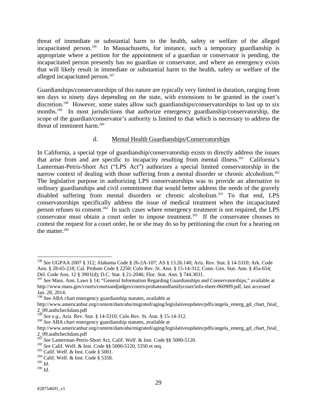threat of immediate or substantial harm to the health, safety or welfare of the alleged incapacitated person.<sup>196</sup> In Massachusetts, for instance, such a temporary guardianship is appropriate where a petition for the appointment of a guardian or conservator is pending, the incapacitated person presently has no guardian or conservator, and where an emergency exists that will likely result in immediate or substantial harm to the health, safety or welfare of the alleged incapacitated person.<sup>197</sup>

Guardianships/conservatorships of this nature are typically very limited in duration, ranging from ten days to ninety days depending on the state, with extensions to be granted in the court's discretion.<sup>198</sup> However, some states allow such guardianships/conservatorships to last up to six months.<sup>199</sup> In most jurisdictions that authorize emergency guardianship/conservatorship, the scope of the guardian/conservator's authority is limited to that which is necessary to address the threat of imminent harm.<sup>200</sup>

# d. Mental Health Guardianships/Conservatorships

In California, a special type of guardianship/conservatorship exists to directly address the issues that arise from and are specific to incapacity resulting from mental illness.<sup>201</sup> California's Lanterman-Petris-Short Act ("LPS Act") authorizes a special limited conservatorship in the narrow context of dealing with those suffering from a mental disorder or chronic alcoholism.<sup>202</sup> The legislative purpose in authorizing LPS conservatorships was to provide an alternative to ordinary guardianships and civil commitment that would better address the needs of the gravely disabled suffering from mental disorders or chronic alcoholism.203 To that end, LPS conservatorships specifically address the issue of medical treatment when the incapacitated person refuses to consent.204 In such cases where emergency treatment is not required, the LPS conservator must obtain a court order to impose treatment.<sup>205</sup> If the conservatee chooses to contest the request for a court order, he or she may do so by petitioning the court for a hearing on the matter. $206$ 

<sup>196</sup> *See* UGPAA 2007 § 312; Alabama Code § 26-2A-107; AS § 13.26.140; Ariz. Rev. Stat. § 14-5310; Ark. Code Ann. § 28-65-218; Cal. Probate Code § 2250; Colo Rev. St. Ann. § 15-14-312; Conn. Gen. Stat. Ann. § 45a-654; Del. Code Ann. 12 § 3901(d); D.C. Stat. § 21-2046; Flor. Stat. Ann. § 744.3031.

<sup>&</sup>lt;sup>197</sup> See Mass. Ann. Laws § 14; "General Information Regarding Guardianships and Conservatorships," available at http://www.mass.gov/courts/courtsandjudges/courts/probateandfamilycourt/info-sheet-060909.pdf, last accessed Jan. 28, 2014.

<sup>&</sup>lt;sup>198</sup> See ABA chart emergency guardianship statutes, available at

http://www.americanbar.org/content/dam/aba/migrated/aging/legislativeupdates/pdfs/angela\_emerg\_gd\_chart\_final\_ 2\_09.authcheckdam.pdf

<sup>199</sup> *See e.g.*, Ariz. Rev. Stat. § 14-5310; Colo Rev. St. Ann. § 15-14-312. 200 *See* ABA chart emergency guardianship statutes, available at

http://www.americanbar.org/content/dam/aba/migrated/aging/legislativeupdates/pdfs/angela\_emerg\_gd\_chart\_final\_ 2\_09.authcheckdam.pdf

<sup>&</sup>lt;sup>201</sup> See Lanterman-Petris-Short Act, Calif. Welf. & Inst. Code §§ 5000-5120.<br><sup>202</sup> See Calif. Welf. & Inst. Code §§ 5000-5120, 5350 et seq.<br><sup>203</sup> Calif. Welf. & Inst. Code § 5001.<br><sup>204</sup> Calif. Welf. & Inst. Code § 5358.<br>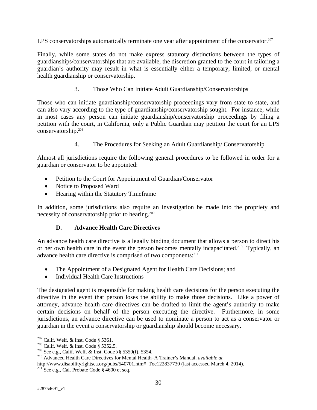LPS conservatorships automatically terminate one year after appointment of the conservator. $207$ 

Finally, while some states do not make express statutory distinctions between the types of guardianships/conservatorships that are available, the discretion granted to the court in tailoring a guardian's authority may result in what is essentially either a temporary, limited, or mental health guardianship or conservatorship.

# 3. Those Who Can Initiate Adult Guardianship/Conservatorships

Those who can initiate guardianship/conservatorship proceedings vary from state to state, and can also vary according to the type of guardianship/conservatorship sought. For instance, while in most cases any person can initiate guardianship/conservatorship proceedings by filing a petition with the court, in California, only a Public Guardian may petition the court for an LPS conservatorship.208

# 4. The Procedures for Seeking an Adult Guardianship/ Conservatorship

Almost all jurisdictions require the following general procedures to be followed in order for a guardian or conservator to be appointed:

- Petition to the Court for Appointment of Guardian/Conservator
- Notice to Proposed Ward
- Hearing within the Statutory Timeframe

In addition, some jurisdictions also require an investigation be made into the propriety and necessity of conservatorship prior to hearing.<sup>209</sup>

# **D. Advance Health Care Directives**

An advance health care directive is a legally binding document that allows a person to direct his or her own health care in the event the person becomes mentally incapacitated.<sup>210</sup> Typically, an advance health care directive is comprised of two components:<sup>211</sup>

- The Appointment of a Designated Agent for Health Care Decisions; and
- Individual Health Care Instructions

The designated agent is responsible for making health care decisions for the person executing the directive in the event that person loses the ability to make those decisions. Like a power of attorney, advance health care directives can be drafted to limit the agent's authority to make certain decisions on behalf of the person executing the directive. Furthermore, in some jurisdictions, an advance directive can be used to nominate a person to act as a conservator or guardian in the event a conservatorship or guardianship should become necessary.

 $207$  Calif. Welf. & Inst. Code § 5361.

<sup>&</sup>lt;sup>208</sup> Calif. Welf. & Inst. Code § 5352.5.<br><sup>209</sup> See e.g., Calif. Welf. & Inst. Code §§ 5350(f), 5354.

<sup>&</sup>lt;sup>210</sup> Advanced Health Care Directives for Mental Health–A Trainer's Manual, *available at* 

http://www.disabilityrightsca.org/pubs/540701.htm#\_Toc122837730 (last accessed March 4, 2014).<br><sup>211</sup> See e.g., Cal. Probate Code § 4600 et seq.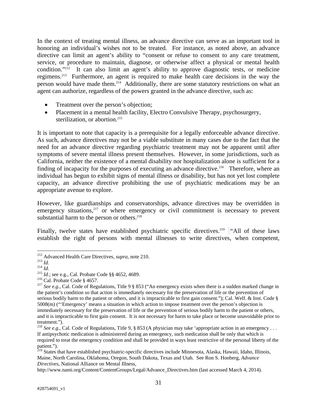In the context of treating mental illness, an advance directive can serve as an important tool in honoring an individual's wishes not to be treated. For instance, as noted above, an advance directive can limit an agent's ability to "consent or refuse to consent to any care treatment, service, or procedure to maintain, diagnose, or otherwise affect a physical or mental health condition."212 It can also limit an agent's ability to approve diagnostic tests, or medicine regimens.213 Furthermore, an agent is required to make health care decisions in the way the person would have made them.<sup>214</sup> Additionally, there are some statutory restrictions on what an agent can authorize, regardless of the powers granted in the advance directive, such as:

- Treatment over the person's objection;
- Placement in a mental health facility, Electro Convulsive Therapy, psychosurgery, sterilization, or abortion.<sup>215</sup>

It is important to note that capacity is a prerequisite for a legally enforceable advance directive. As such, advance directives may not be a viable substitute in many cases due to the fact that the need for an advance directive regarding psychiatric treatment may not be apparent until after symptoms of severe mental illness present themselves. However, in some jurisdictions, such as California, neither the existence of a mental disability nor hospitalization alone is sufficient for a finding of incapacity for the purposes of executing an advance directive.<sup>216</sup> Therefore, where an individual has begun to exhibit signs of mental illness or disability, but has not yet lost complete capacity, an advance directive prohibiting the use of psychiatric medications may be an appropriate avenue to explore.

However, like guardianships and conservatorships, advance directives may be overridden in emergency situations,<sup>217</sup> or where emergency or civil commitment is necessary to prevent substantial harm to the person or others.<sup>218</sup>

Finally, twelve states have established psychiatric specific directives.<sup>219</sup> "All of these laws establish the right of persons with mental illnesses to write directives, when competent,

http://www.nami.org/Content/ContentGroups/Legal/Advance\_Directives.htm (last accessed March 4, 2014).

<sup>&</sup>lt;sup>212</sup> Advanced Health Care Directives, *supra*, note 210.

Advanced Fically Cate Directives, supplying time 21.5.<br>
213 Id.<br>
<sup>214</sup> Id.<br>
<sup>215</sup> Id.; see e.g., Cal. Probate Code §§ 4652, 4689.<br>
<sup>216</sup> Cal. Probate Code § 4657.<br>
<sup>217</sup> See e.g., Cal. Code of Regulations, Title 9 § 853 ( the patient's condition so that action is immediately necessary for the preservation of life or the prevention of serious bodily harm to the patient or others, and it is impracticable to first gain consent."); Cal. Welf. & Inst. Code § 5008(m) ("'Emergency' means a situation in which action to impose treatment over the person's objection is immediately necessary for the preservation of life or the prevention of serious bodily harm to the patient or others, and it is impracticable to first gain consent. It is not necessary for harm to take place or become unavoidable prior to treatment.").

<sup>&</sup>lt;sup>218</sup> *See e.g.*, Cal. Code of Regulations, Title 9, § 853 (A physician may take 'appropriate action in an emergency ... If antipsychotic medication is administered during an emergency, such medication shall be only that which is required to treat the emergency condition and shall be provided in ways least restrictive of the personal liberty of the patient.").

<sup>&</sup>lt;sup>219</sup> States that have established psychiatric-specific directives include Minnesota, Alaska, Hawaii, Idaho, Illinois, Maine, North Carolina, Oklahoma, Oregon, South Dakota, Texas and Utah. See Ron S. Honberg, *Advance Directives*, National Alliance on Mental Illness,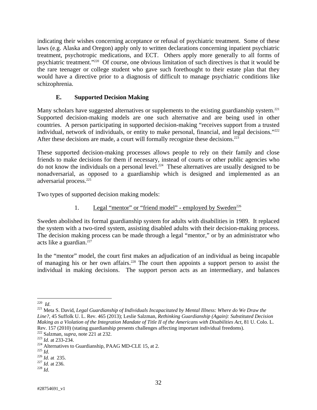indicating their wishes concerning acceptance or refusal of psychiatric treatment. Some of these laws (e.g. Alaska and Oregon) apply only to written declarations concerning inpatient psychiatric treatment, psychotropic medications, and ECT. Others apply more generally to all forms of psychiatric treatment."220 Of course, one obvious limitation of such directives is that it would be the rare teenager or college student who gave such forethought to their estate plan that they would have a directive prior to a diagnosis of difficult to manage psychiatric conditions like schizophrenia.

# **E. Supported Decision Making**

Many scholars have suggested alternatives or supplements to the existing guardianship system.<sup>221</sup> Supported decision-making models are one such alternative and are being used in other countries. A person participating in supported decision-making "receives support from a trusted individual, network of individuals, or entity to make personal, financial, and legal decisions."<sup>222</sup> After these decisions are made, a court will formally recognize these decisions.<sup>223</sup>

These supported decision-making processes allows people to rely on their family and close friends to make decisions for them if necessary, instead of courts or other public agencies who do not know the individuals on a personal level.<sup>224</sup> These alternatives are usually designed to be nonadversarial, as opposed to a guardianship which is designed and implemented as an adversarial process.225

Two types of supported decision making models:

1. Legal "mentor" or "friend model" - employed by Sweden<sup>226</sup>

Sweden abolished its formal guardianship system for adults with disabilities in 1989. It replaced the system with a two-tired system, assisting disabled adults with their decision-making process. The decision making process can be made through a legal "mentor," or by an administrator who acts like a guardian. $227$ 

In the "mentor" model, the court first makes an adjudication of an individual as being incapable of managing his or her own affairs.228 The court then appoints a support person to assist the individual in making decisions. The support person acts as an intermediary, and balances

 $220$  *Id.* 

<sup>&</sup>lt;sup>221</sup> Meta S. David, *Legal Guardianship of Individuals Incapacitated by Mental Illness: Where do We Draw the Line?*, 45 Suffolk U. L. Rev. 465 (2013); Leslie Salzman, *Rethinking Guardianship (Again): Substituted Decision Making as a Violation of the Integration Mandate of Title II of the Americans with Disabilities Act*, 81 U. Colo. L. Rev. 157 (2010) (stating guardianship presents challenges affecting important individual freedoms).<br><sup>222</sup> Salzman, *supra*, note 221 at 232.

<sup>&</sup>lt;sup>223</sup> *Id.* at 233-234. <sup>223</sup><br><sup>224</sup> Alternatives to Guardianship, PAAG MD-CLE 15, at 2.<br><sup>225</sup> *Id.* at 235. <sup>227</sup> *Id.* at 236. <sup>228</sup> *Id*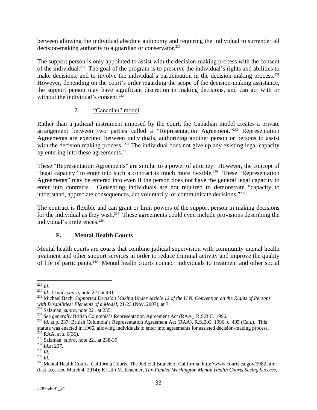between allowing the individual absolute autonomy and requiring the individual to surrender all decision-making authority to a guardian or conservator.<sup>229</sup>

The support person is only appointed to assist with the decision-making process with the consent of the individual.230 The goal of the program is to preserve the individual's rights and abilities to make decisions, and to involve the individual's participation in the decision-making process.<sup>231</sup> However, depending on the court's order regarding the scope of the decision-making assistance, the support person may have significant discretion in making decisions, and can act with or without the individual's consent.<sup>232</sup>

# 2. "Canadian" model

Rather than a judicial instrument imposed by the court, the Canadian model creates a private arrangement between two parties called a "Representation Agreement."233 Representation Agreements are executed between individuals, authorizing another person or persons to assist with the decision making process. <sup>234</sup> The individual does not give up any existing legal capacity by entering into these agreements.<sup>235</sup>

These "Representation Agreements" are similar to a power of attorney. However, the concept of "legal capacity" to enter into such a contract is much more flexible.<sup>236</sup> These "Representation" Agreements" may be entered into even if the person does not have the general legal capacity to enter into contracts. Consenting individuals are not required to demonstrate "capacity to understand, appreciate consequences, act voluntarily, or communicate decisions."237

The contract is flexible and can grant or limit powers of the support person in making decisions for the individual as they wish.<sup>238</sup> These agreements could even include provisions describing the individual's preferences.<sup>239</sup>

# **F. Mental Health Courts**

Mental health courts are courts that combine judicial supervision with community mental health treatment and other support services in order to reduce criminal activity and improve the quality of life of participants.240 Mental health courts connect individuals to treatment and other social

 $^{229}$  *Id.* 

<sup>&</sup>lt;sup>230</sup> *Id.*; David, *supra*, note 221 at 481.<br><sup>231</sup> Michael Bach, *Supported Decision Making Under Article 12 of the U.N. Convention on the Rights of Persons* with Disabilities: Elements of a Model, 21-23 (Nov. 2007), at 7.<br><sup>232</sup> Salzman, *supra*, note 221 at 235.<br><sup>233</sup> See generally British Columbia's Representation Agreement Act (RAA), R.S.B.C. 1996.<br><sup>234</sup> Id. at p. 237; Briti

statute was enacted in 1966, allowing individuals to enter into agreements for assisted decision-making process.<br><sup>235</sup> RAA, at s. 6(36).<br><sup>236</sup> Salzman, *supra*, note 221 at 238-39.<br><sup>237</sup> *Id.*at 237. *Id.*at 237.<br><sup>238</sup> *Id* 

<sup>&</sup>lt;sup>240</sup> Mental Health Courts, California Courts, The Judicial Branch of California, http://www.courts.ca.gov/5982.htm (last accessed March 4, 2014); Kristin M. Kraemer, *Tax-Funded Washington Mental Health Courts Seeing Success*,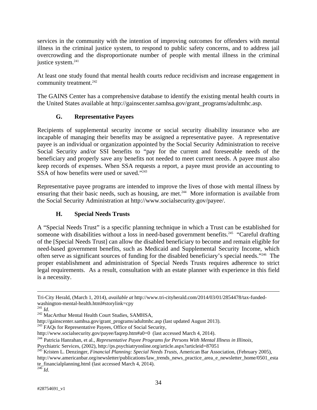services in the community with the intention of improving outcomes for offenders with mental illness in the criminal justice system, to respond to public safety concerns, and to address jail overcrowding and the disproportionate number of people with mental illness in the criminal justice system.<sup>241</sup>

At least one study found that mental health courts reduce recidivism and increase engagement in community treatment.<sup>242</sup>

The GAINS Center has a comprehensive database to identify the existing mental health courts in the United States available at http://gainscenter.samhsa.gov/grant\_programs/adultmhc.asp.

# **G. Representative Payees**

Recipients of supplemental security income or social security disability insurance who are incapable of managing their benefits may be assigned a representative payee. A representative payee is an individual or organization appointed by the Social Security Administration to receive Social Security and/or SSI benefits to "pay for the current and foreseeable needs of the beneficiary and properly save any benefits not needed to meet current needs. A payee must also keep records of expenses. When SSA requests a report, a payee must provide an accounting to SSA of how benefits were used or saved."<sup>243</sup>

Representative payee programs are intended to improve the lives of those with mental illness by ensuring that their basic needs, such as housing, are met.<sup>244</sup> More information is available from the Social Security Administration at http://www.socialsecurity.gov/payee/.

# **H. Special Needs Trusts**

A "Special Needs Trust" is a specific planning technique in which a Trust can be established for someone with disabilities without a loss in need-based government benefits.<sup>245</sup> "Careful drafting" of the [Special Needs Trust] can allow the disabled beneficiary to become and remain eligible for need-based government benefits, such as Medicaid and Supplemental Security Income, which often serve as significant sources of funding for the disabled beneficiary's special needs."246 The proper establishment and administration of Special Needs Trusts requires adherence to strict legal requirements. As a result, consultation with an estate planner with experience in this field is a necessity.

Tri-City Herald, (March 1, 2014), *available at* http://www.tri-cityherald.com/2014/03/01/2854478/tax-fundedwashington-mental-health.html#storylink=cpy  $^{241}$  *Id.* 

<sup>&</sup>lt;sup>242</sup> MacArthur Mental Health Court Studies, SAMHSA,

http://gainscenter.samhsa.gov/grant\_programs/adultmhc.asp (last updated August 2013).

<sup>&</sup>lt;sup>243</sup> FAQs for Representative Payees, Office of Social Security,

http://www.socialsecurity.gov/payee/faqrep.htm#a0=0 (last accessed March 4, 2014). 244 Patricia Hanrahan, et al., *Representative Payee Programs for Persons With Mental Illness in Illinois*,

Psychiatric Services, (2002), http://ps.psychiatryonline.org/article.aspx?articleid=87051 245 Kristen L. Denzinger, *Financial Planning: Special Needs Trusts*, American Bar Association, (February 2005),

http://www.americanbar.org/newsletter/publications/law\_trends\_news\_practice\_area\_e\_newsletter\_home/0501\_esta te\_financialplanning.html (last accessed March 4, 2014).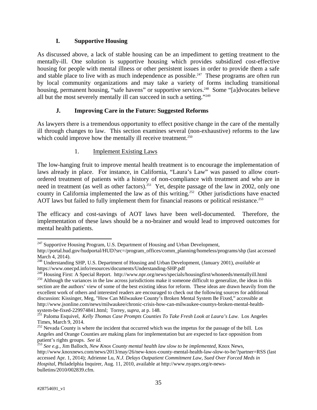# **I. Supportive Housing**

As discussed above, a lack of stable housing can be an impediment to getting treatment to the mentally-ill. One solution is supportive housing which provides subsidized cost-effective housing for people with mental illness or other persistent issues in order to provide them a safe and stable place to live with as much independence as possible.<sup>247</sup> These programs are often run by local community organizations and may take a variety of forms including transitional housing, permanent housing, "safe havens" or supportive services.<sup>248</sup> Some "[a]dvocates believe all but the most severely mentally ill can succeed in such a setting."249

# **J. Improving Care in the Future: Suggested Reforms**

As lawyers there is a tremendous opportunity to effect positive change in the care of the mentally ill through changes to law. This section examines several (non-exhaustive) reforms to the law which could improve how the mentally ill receive treatment.<sup>250</sup>

# 1. Implement Existing Laws

The low-hanging fruit to improve mental health treatment is to encourage the implementation of laws already in place. For instance, in California, "Laura's Law" was passed to allow courtordered treatment of patients with a history of non-compliance with treatment and who are in need in treatment (as well as other factors).<sup>251</sup> Yet, despite passage of the law in 2002, only one county in California implemented the law as of this writing.<sup>252</sup> Other jurisdictions have enacted AOT laws but failed to fully implement them for financial reasons or political resistance.<sup>253</sup>

The efficacy and cost-savings of AOT laws have been well-documented. Therefore, the implementation of these laws should be a no-brainer and would lead to improved outcomes for mental health patients.

 $\overline{a}$  $247$  Supportive Housing Program, U.S. Department of Housing and Urban Development,

http://portal.hud.gov/hudportal/HUD?src=/program\_offices/comm\_planning/homeless/programs/shp (last accessed March 4, 2014).

<sup>248</sup> Understanding SHP, U.S. Department of Housing and Urban Development, (January 2001), *available at*

https://www.onecpd.info/resources/documents/Understanding-SHP.pdf<br><sup>249</sup> Housing First: A Special Report. http://www.npr.org/news/specials/housingfirst/whoneeds/mentallyill.html

<sup>250</sup> Although the variances in the law across jurisdictions make it someone difficult to generalize, the ideas in this section are the authors' view of some of the best existing ideas for reform. These ideas are drawn heavily from the excellent work of others and interested readers are encouraged to check out the following sources for additional discussion: Kissinger, Meg, "How Can Milwaukee County's Broken Mental System Be Fixed," accessible at http://www.jsonline.com/news/milwaukee/chronic-crisis-how-can-milwaukee-countys-broken-mental-healthsystem-be-fixed-229974841.html; Torrey, *supra*, at p. 148. 251 Paloma Esquivel, *Kelly Thomas Case Prompts Counties To Take Fresh Look at Laura's Law*. Los Angeles

Times, March 9, 2014.

<sup>&</sup>lt;sup>252</sup> Nevada County is where the incident that occurred which was the impetus for the passage of the bill. Los Angeles and Orange Counties are making plans for implementation but are expected to face opposition from patient's rights groups. *See id.* <sup>253</sup> *See e.g.*, Jim Balloch, *New Knox County mental health law slow to be implemented*, Knox News,

http://www.knoxnews.com/news/2013/may/26/new-knox-county-mental-health-law-slow-to-be/?partner=RSS (last accessed Apr. 1, 2014); Adrienne Lu, *N.J. Delays Outpatient Commitment Law, Sued Over Forced Meds in Hospital*, Philadelphia Inquirer, Aug. 11, 2010, available at http://www.nyaprs.org/e-newsbulletins/2010/002839.cfm.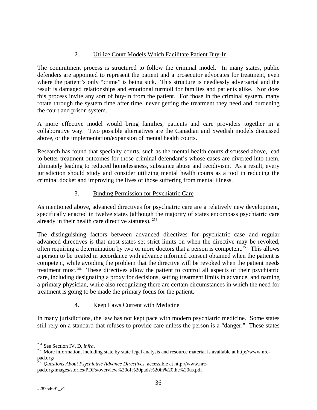# 2. Utilize Court Models Which Facilitate Patient Buy-In

The commitment process is structured to follow the criminal model. In many states, public defenders are appointed to represent the patient and a prosecutor advocates for treatment, even where the patient's only "crime" is being sick. This structure is needlessly adversarial and the result is damaged relationships and emotional turmoil for families and patients alike. Nor does this process invite any sort of buy-in from the patient. For those in the criminal system, many rotate through the system time after time, never getting the treatment they need and burdening the court and prison system.

A more effective model would bring families, patients and care providers together in a collaborative way. Two possible alternatives are the Canadian and Swedish models discussed above, or the implementation/expansion of mental health courts.

Research has found that specialty courts, such as the mental health courts discussed above, lead to better treatment outcomes for those criminal defendant's whose cases are diverted into them, ultimately leading to reduced homelessness, substance abuse and recidivism. As a result, every jurisdiction should study and consider utilizing mental health courts as a tool in reducing the criminal docket and improving the lives of those suffering from mental illness.

# 3. Binding Permission for Psychiatric Care

As mentioned above, advanced directives for psychiatric care are a relatively new development, specifically enacted in twelve states (although the majority of states encompass psychiatric care already in their health care directive statutes). 254

The distinguishing factors between advanced directives for psychiatric case and regular advanced directives is that most states set strict limits on when the directive may be revoked, often requiring a determination by two or more doctors that a person is competent.255 This allows a person to be treated in accordance with advance informed consent obtained when the patient is competent, while avoiding the problem that the directive will be revoked when the patient needs treatment most.256 These directives allow the patient to control all aspects of their psychiatric care, including designating a proxy for decisions, setting treatment limits in advance, and naming a primary physician, while also recognizing there are certain circumstances in which the need for treatment is going to be made the primary focus for the patient.

# 4. Keep Laws Current with Medicine

In many jurisdictions, the law has not kept pace with modern psychiatric medicine. Some states still rely on a standard that refuses to provide care unless the person is a "danger." These states

<sup>&</sup>lt;sup>254</sup> See Section IV, D, infra.

<sup>&</sup>lt;sup>255</sup> More information, including state by state legal analysis and resource material is available at http://www.nrcpad.org/

<sup>256</sup> *Questions About Psychiatric Advance Directives*, accessible at http://www.nrc-

pad.org/images/stories/PDFs/overview%20of%20pads%20in%20the%20us.pdf